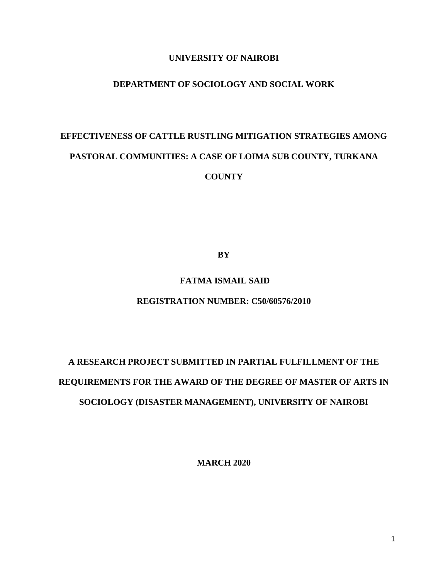# **UNIVERSITY OF NAIROBI**

# **DEPARTMENT OF SOCIOLOGY AND SOCIAL WORK**

# **EFFECTIVENESS OF CATTLE RUSTLING MITIGATION STRATEGIES AMONG PASTORAL COMMUNITIES: A CASE OF LOIMA SUB COUNTY, TURKANA COUNTY**

**BY**

# **FATMA ISMAIL SAID**

#### **REGISTRATION NUMBER: C50/60576/2010**

# **A RESEARCH PROJECT SUBMITTED IN PARTIAL FULFILLMENT OF THE REQUIREMENTS FOR THE AWARD OF THE DEGREE OF MASTER OF ARTS IN SOCIOLOGY (DISASTER MANAGEMENT), UNIVERSITY OF NAIROBI**

**MARCH 2020**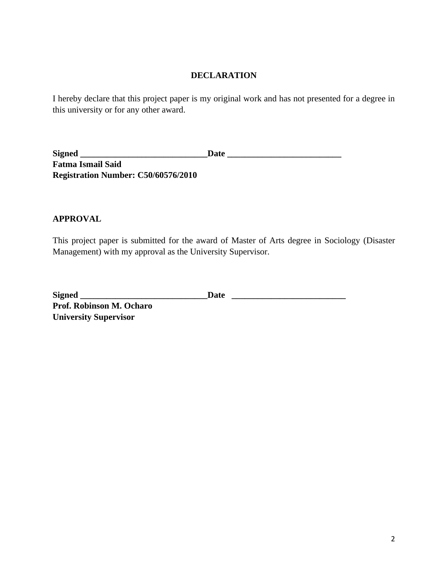## **DECLARATION**

<span id="page-1-0"></span>I hereby declare that this project paper is my original work and has not presented for a degree in this university or for any other award.

**Signed \_\_\_\_\_\_\_\_\_\_\_\_\_\_\_\_\_\_\_\_\_\_\_\_\_\_\_\_\_Date \_\_\_\_\_\_\_\_\_\_\_\_\_\_\_\_\_\_\_\_\_\_\_\_\_\_ Fatma Ismail Said Registration Number: C50/60576/2010**

# **APPROVAL**

**University Supervisor**

This project paper is submitted for the award of Master of Arts degree in Sociology (Disaster Management) with my approval as the University Supervisor.

| <b>Signed</b>            | Date |
|--------------------------|------|
| Prof. Robinson M. Ocharo |      |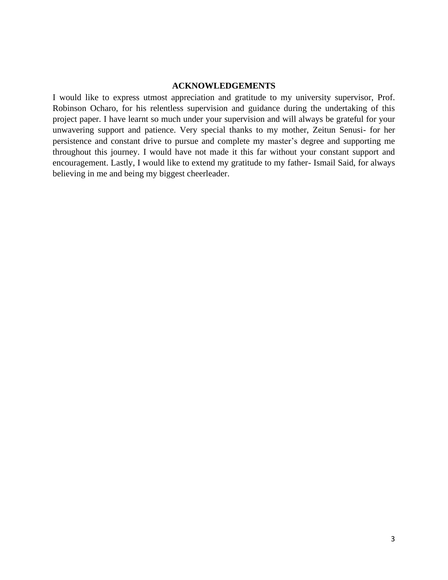#### **ACKNOWLEDGEMENTS**

<span id="page-2-0"></span>I would like to express utmost appreciation and gratitude to my university supervisor, Prof. Robinson Ocharo, for his relentless supervision and guidance during the undertaking of this project paper. I have learnt so much under your supervision and will always be grateful for your unwavering support and patience. Very special thanks to my mother, Zeitun Senusi- for her persistence and constant drive to pursue and complete my master's degree and supporting me throughout this journey. I would have not made it this far without your constant support and encouragement. Lastly, I would like to extend my gratitude to my father- Ismail Said, for always believing in me and being my biggest cheerleader.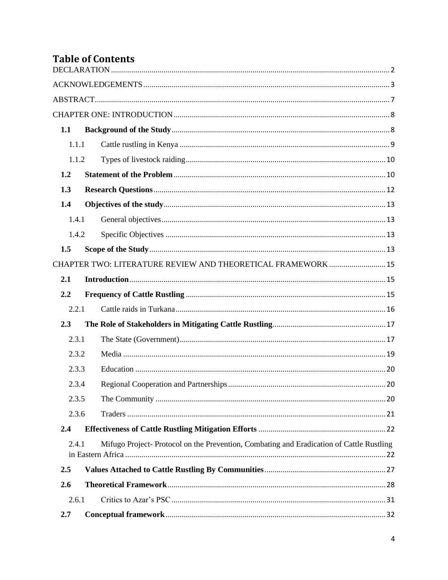# **Table of Contents**

| 1.1   |       |                                                                                         |  |
|-------|-------|-----------------------------------------------------------------------------------------|--|
| 1.1.1 |       |                                                                                         |  |
|       | 1.1.2 |                                                                                         |  |
| 1.2   |       |                                                                                         |  |
| 1.3   |       |                                                                                         |  |
| 1.4   |       |                                                                                         |  |
| 1.4.1 |       |                                                                                         |  |
|       | 1.4.2 |                                                                                         |  |
| 1.5   |       |                                                                                         |  |
|       |       | CHAPTER TWO: LITERATURE REVIEW AND THEORETICAL FRAMEWORK  15                            |  |
| 2.1   |       |                                                                                         |  |
| 2.2   |       |                                                                                         |  |
| 2.2.1 |       |                                                                                         |  |
| 2.3   |       |                                                                                         |  |
| 2.3.1 |       |                                                                                         |  |
| 2.3.2 |       |                                                                                         |  |
| 2.3.3 |       |                                                                                         |  |
| 2.3.4 |       |                                                                                         |  |
| 2.3.5 |       |                                                                                         |  |
| 2.3.6 |       |                                                                                         |  |
| 2.4   |       |                                                                                         |  |
| 2.4.1 |       | Mifugo Project-Protocol on the Prevention, Combating and Eradication of Cattle Rustling |  |
| 2.5   |       |                                                                                         |  |
| 2.6   |       |                                                                                         |  |
| 2.6.1 |       |                                                                                         |  |
| 2.7   |       |                                                                                         |  |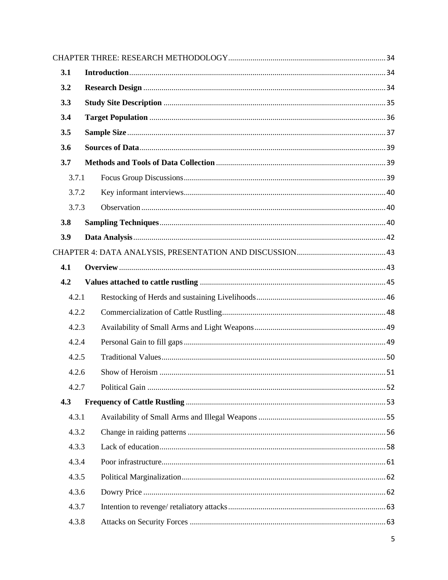| 3.1   |  |  |  |  |  |  |
|-------|--|--|--|--|--|--|
| 3.2   |  |  |  |  |  |  |
| 3.3   |  |  |  |  |  |  |
| 3.4   |  |  |  |  |  |  |
| 3.5   |  |  |  |  |  |  |
| 3.6   |  |  |  |  |  |  |
| 3.7   |  |  |  |  |  |  |
| 3.7.1 |  |  |  |  |  |  |
| 3.7.2 |  |  |  |  |  |  |
| 3.7.3 |  |  |  |  |  |  |
| 3.8   |  |  |  |  |  |  |
| 3.9   |  |  |  |  |  |  |
|       |  |  |  |  |  |  |
| 4.1   |  |  |  |  |  |  |
| 4.2   |  |  |  |  |  |  |
| 4.2.1 |  |  |  |  |  |  |
| 4.2.2 |  |  |  |  |  |  |
| 4.2.3 |  |  |  |  |  |  |
| 4.2.4 |  |  |  |  |  |  |
| 4.2.5 |  |  |  |  |  |  |
| 4.2.6 |  |  |  |  |  |  |
| 4.2.7 |  |  |  |  |  |  |
| 4.3   |  |  |  |  |  |  |
| 4.3.1 |  |  |  |  |  |  |
| 4.3.2 |  |  |  |  |  |  |
| 4.3.3 |  |  |  |  |  |  |
| 4.3.4 |  |  |  |  |  |  |
| 4.3.5 |  |  |  |  |  |  |
| 4.3.6 |  |  |  |  |  |  |
| 4.3.7 |  |  |  |  |  |  |
| 4.3.8 |  |  |  |  |  |  |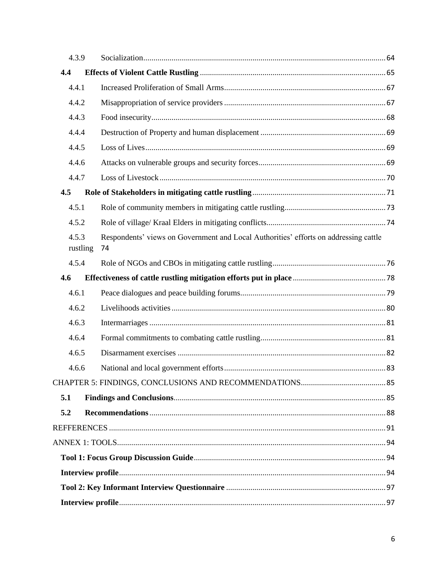| 4.3.9             |    |                                                                                      |  |  |
|-------------------|----|--------------------------------------------------------------------------------------|--|--|
| 4.4               |    |                                                                                      |  |  |
| 4.4.1             |    |                                                                                      |  |  |
| 4.4.2             |    |                                                                                      |  |  |
| 4.4.3             |    |                                                                                      |  |  |
| 4.4.4             |    |                                                                                      |  |  |
| 4.4.5             |    |                                                                                      |  |  |
| 4.4.6             |    |                                                                                      |  |  |
| 4.4.7             |    |                                                                                      |  |  |
| 4.5               |    |                                                                                      |  |  |
| 4.5.1             |    |                                                                                      |  |  |
| 4.5.2             |    |                                                                                      |  |  |
| 4.5.3<br>rustling | 74 | Respondents' views on Government and Local Authorities' efforts on addressing cattle |  |  |
| 4.5.4             |    |                                                                                      |  |  |
| 4.6               |    |                                                                                      |  |  |
| 4.6.1             |    |                                                                                      |  |  |
| 4.6.2             |    |                                                                                      |  |  |
| 4.6.3             |    |                                                                                      |  |  |
| 4.6.4             |    |                                                                                      |  |  |
| 4.6.5             |    |                                                                                      |  |  |
| 4.6.6             |    |                                                                                      |  |  |
|                   |    |                                                                                      |  |  |
| 5.1               |    |                                                                                      |  |  |
| 5.2               |    |                                                                                      |  |  |
|                   |    |                                                                                      |  |  |
|                   |    |                                                                                      |  |  |
|                   |    |                                                                                      |  |  |
|                   |    |                                                                                      |  |  |
|                   |    |                                                                                      |  |  |
|                   |    |                                                                                      |  |  |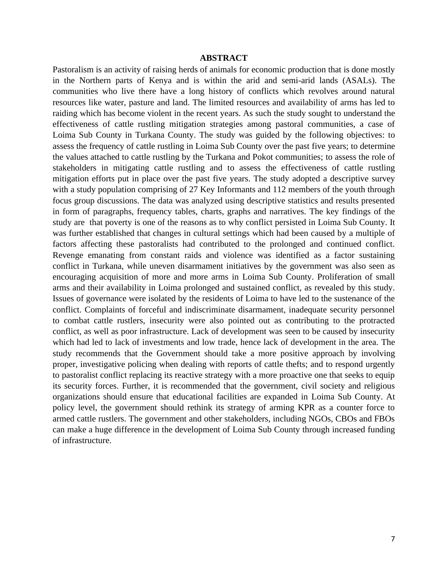#### **ABSTRACT**

<span id="page-6-0"></span>Pastoralism is an activity of raising herds of animals for economic production that is done mostly in the Northern parts of Kenya and is within the arid and semi-arid lands (ASALs). The communities who live there have a long history of conflicts which revolves around natural resources like water, pasture and land. The limited resources and availability of arms has led to raiding which has become violent in the recent years. As such the study sought to understand the effectiveness of cattle rustling mitigation strategies among pastoral communities, a case of Loima Sub County in Turkana County. The study was guided by the following objectives: to assess the frequency of cattle rustling in Loima Sub County over the past five years; to determine the values attached to cattle rustling by the Turkana and Pokot communities; to assess the role of stakeholders in mitigating cattle rustling and to assess the effectiveness of cattle rustling mitigation efforts put in place over the past five years. The study adopted a descriptive survey with a study population comprising of 27 Key Informants and 112 members of the youth through focus group discussions. The data was analyzed using descriptive statistics and results presented in form of paragraphs, frequency tables, charts, graphs and narratives. The key findings of the study are that poverty is one of the reasons as to why conflict persisted in Loima Sub County. It was further established that changes in cultural settings which had been caused by a multiple of factors affecting these pastoralists had contributed to the prolonged and continued conflict. Revenge emanating from constant raids and violence was identified as a factor sustaining conflict in Turkana, while uneven disarmament initiatives by the government was also seen as encouraging acquisition of more and more arms in Loima Sub County. Proliferation of small arms and their availability in Loima prolonged and sustained conflict, as revealed by this study. Issues of governance were isolated by the residents of Loima to have led to the sustenance of the conflict. Complaints of forceful and indiscriminate disarmament, inadequate security personnel to combat cattle rustlers, insecurity were also pointed out as contributing to the protracted conflict, as well as poor infrastructure. Lack of development was seen to be caused by insecurity which had led to lack of investments and low trade, hence lack of development in the area. The study recommends that the Government should take a more positive approach by involving proper, investigative policing when dealing with reports of cattle thefts; and to respond urgently to pastoralist conflict replacing its reactive strategy with a more proactive one that seeks to equip its security forces. Further, it is recommended that the government, civil society and religious organizations should ensure that educational facilities are expanded in Loima Sub County. At policy level, the government should rethink its strategy of arming KPR as a counter force to armed cattle rustlers. The government and other stakeholders, including NGOs, CBOs and FBOs can make a huge difference in the development of Loima Sub County through increased funding of infrastructure.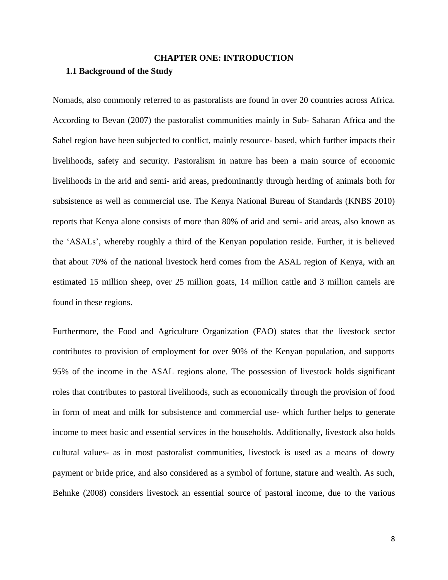#### **CHAPTER ONE: INTRODUCTION**

#### <span id="page-7-1"></span><span id="page-7-0"></span>**1.1 Background of the Study**

Nomads, also commonly referred to as pastoralists are found in over 20 countries across Africa. According to Bevan (2007) the pastoralist communities mainly in Sub- Saharan Africa and the Sahel region have been subjected to conflict, mainly resource- based, which further impacts their livelihoods, safety and security. Pastoralism in nature has been a main source of economic livelihoods in the arid and semi- arid areas, predominantly through herding of animals both for subsistence as well as commercial use. The Kenya National Bureau of Standards (KNBS 2010) reports that Kenya alone consists of more than 80% of arid and semi- arid areas, also known as the 'ASALs', whereby roughly a third of the Kenyan population reside. Further, it is believed that about 70% of the national livestock herd comes from the ASAL region of Kenya, with an estimated 15 million sheep, over 25 million goats, 14 million cattle and 3 million camels are found in these regions.

Furthermore, the Food and Agriculture Organization (FAO) states that the livestock sector contributes to provision of employment for over 90% of the Kenyan population, and supports 95% of the income in the ASAL regions alone. The possession of livestock holds significant roles that contributes to pastoral livelihoods, such as economically through the provision of food in form of meat and milk for subsistence and commercial use- which further helps to generate income to meet basic and essential services in the households. Additionally, livestock also holds cultural values- as in most pastoralist communities, livestock is used as a means of dowry payment or bride price, and also considered as a symbol of fortune, stature and wealth. As such, Behnke (2008) considers livestock an essential source of pastoral income, due to the various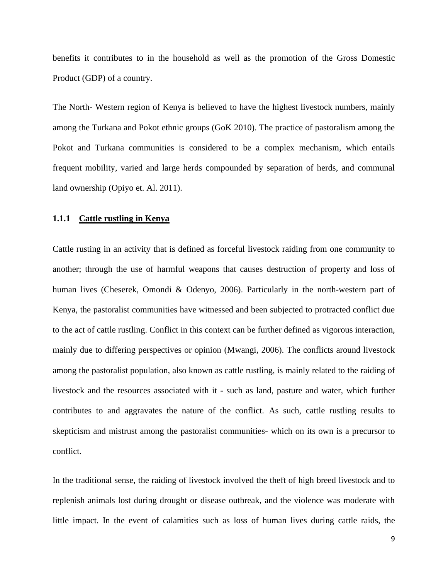benefits it contributes to in the household as well as the promotion of the Gross Domestic Product (GDP) of a country.

The North- Western region of Kenya is believed to have the highest livestock numbers, mainly among the Turkana and Pokot ethnic groups (GoK 2010). The practice of pastoralism among the Pokot and Turkana communities is considered to be a complex mechanism, which entails frequent mobility, varied and large herds compounded by separation of herds, and communal land ownership (Opiyo et. Al. 2011).

#### <span id="page-8-0"></span>**1.1.1 Cattle rustling in Kenya**

Cattle rusting in an activity that is defined as forceful livestock raiding from one community to another; through the use of harmful weapons that causes destruction of property and loss of human lives (Cheserek, Omondi & Odenyo, 2006). Particularly in the north-western part of Kenya, the pastoralist communities have witnessed and been subjected to protracted conflict due to the act of cattle rustling. Conflict in this context can be further defined as vigorous interaction, mainly due to differing perspectives or opinion (Mwangi, 2006). The conflicts around livestock among the pastoralist population, also known as cattle rustling, is mainly related to the raiding of livestock and the resources associated with it - such as land, pasture and water, which further contributes to and aggravates the nature of the conflict. As such, cattle rustling results to skepticism and mistrust among the pastoralist communities- which on its own is a precursor to conflict.

In the traditional sense, the raiding of livestock involved the theft of high breed livestock and to replenish animals lost during drought or disease outbreak, and the violence was moderate with little impact. In the event of calamities such as loss of human lives during cattle raids, the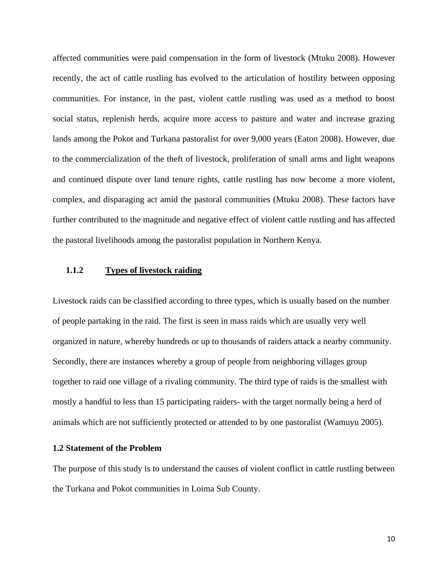affected communities were paid compensation in the form of livestock (Mtuku 2008). However recently, the act of cattle rustling has evolved to the articulation of hostility between opposing communities. For instance, in the past, violent cattle rustling was used as a method to boost social status, replenish herds, acquire more access to pasture and water and increase grazing lands among the Pokot and Turkana pastoralist for over 9,000 years (Eaton 2008). However, due to the commercialization of the theft of livestock, proliferation of small arms and light weapons and continued dispute over land tenure rights, cattle rustling has now become a more violent, complex, and disparaging act amid the pastoral communities (Mtuku 2008). These factors have further contributed to the magnitude and negative effect of violent cattle rustling and has affected the pastoral livelihoods among the pastoralist population in Northern Kenya.

# <span id="page-9-0"></span>**1.1.2 Types of livestock raiding**

Livestock raids can be classified according to three types, which is usually based on the number of people partaking in the raid. The first is seen in mass raids which are usually very well organized in nature, whereby hundreds or up to thousands of raiders attack a nearby community. Secondly, there are instances whereby a group of people from neighboring villages group together to raid one village of a rivaling community. The third type of raids is the smallest with mostly a handful to less than 15 participating raiders- with the target normally being a herd of animals which are not sufficiently protected or attended to by one pastoralist (Wamuyu 2005).

#### <span id="page-9-1"></span>**1.2 Statement of the Problem**

The purpose of this study is to understand the causes of violent conflict in cattle rustling between the Turkana and Pokot communities in Loima Sub County.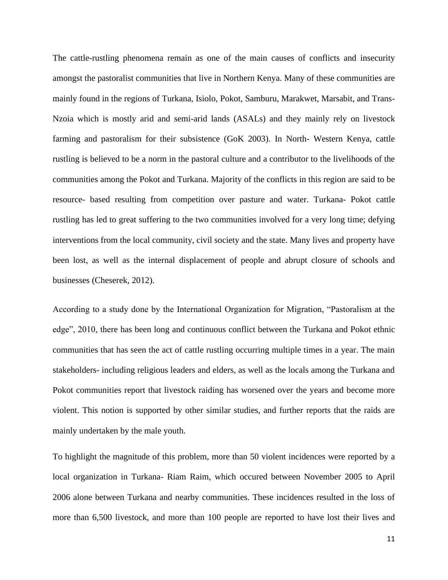The cattle-rustling phenomena remain as one of the main causes of conflicts and insecurity amongst the pastoralist communities that live in Northern Kenya. Many of these communities are mainly found in the regions of Turkana, Isiolo, Pokot, Samburu, Marakwet, Marsabit, and Trans-Nzoia which is mostly arid and semi-arid lands (ASALs) and they mainly rely on livestock farming and pastoralism for their subsistence (GoK 2003). In North- Western Kenya, cattle rustling is believed to be a norm in the pastoral culture and a contributor to the livelihoods of the communities among the Pokot and Turkana. Majority of the conflicts in this region are said to be resource- based resulting from competition over pasture and water. Turkana- Pokot cattle rustling has led to great suffering to the two communities involved for a very long time; defying interventions from the local community, civil society and the state. Many lives and property have been lost, as well as the internal displacement of people and abrupt closure of schools and businesses (Cheserek, 2012).

According to a study done by the International Organization for Migration, "Pastoralism at the edge", 2010, there has been long and continuous conflict between the Turkana and Pokot ethnic communities that has seen the act of cattle rustling occurring multiple times in a year. The main stakeholders- including religious leaders and elders, as well as the locals among the Turkana and Pokot communities report that livestock raiding has worsened over the years and become more violent. This notion is supported by other similar studies, and further reports that the raids are mainly undertaken by the male youth.

To highlight the magnitude of this problem, more than 50 violent incidences were reported by a local organization in Turkana- Riam Raim, which occured between November 2005 to April 2006 alone between Turkana and nearby communities. These incidences resulted in the loss of more than 6,500 livestock, and more than 100 people are reported to have lost their lives and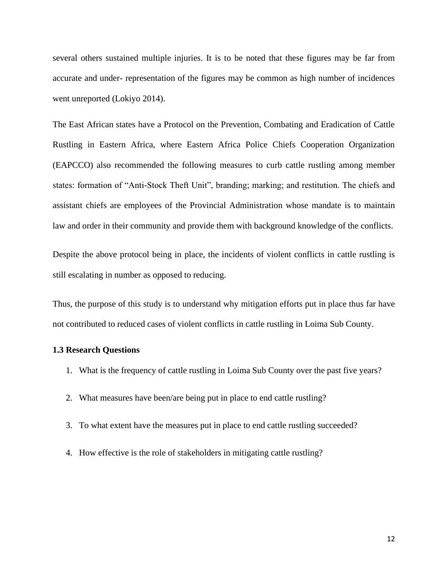several others sustained multiple injuries. It is to be noted that these figures may be far from accurate and under- representation of the figures may be common as high number of incidences went unreported (Lokiyo 2014).

The East African states have a Protocol on the Prevention, Combating and Eradication of Cattle Rustling in Eastern Africa, where Eastern Africa Police Chiefs Cooperation Organization (EAPCCO) also recommended the following measures to curb cattle rustling among member states: formation of "Anti-Stock Theft Unit", branding; marking; and restitution. The chiefs and assistant chiefs are employees of the Provincial Administration whose mandate is to maintain law and order in their community and provide them with background knowledge of the conflicts.

Despite the above protocol being in place, the incidents of violent conflicts in cattle rustling is still escalating in number as opposed to reducing.

Thus, the purpose of this study is to understand why mitigation efforts put in place thus far have not contributed to reduced cases of violent conflicts in cattle rustling in Loima Sub County.

#### <span id="page-11-0"></span>**1.3 Research Questions**

- 1. What is the frequency of cattle rustling in Loima Sub County over the past five years?
- 2. What measures have been/are being put in place to end cattle rustling?
- 3. To what extent have the measures put in place to end cattle rustling succeeded?
- 4. How effective is the role of stakeholders in mitigating cattle rustling?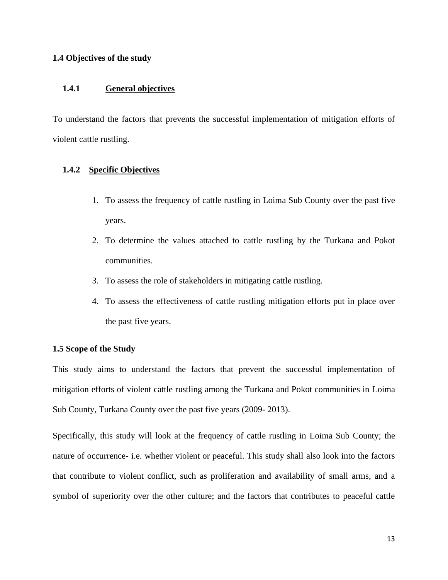#### <span id="page-12-0"></span>**1.4 Objectives of the study**

### <span id="page-12-1"></span>**1.4.1 General objectives**

To understand the factors that prevents the successful implementation of mitigation efforts of violent cattle rustling.

#### <span id="page-12-2"></span>**1.4.2 Specific Objectives**

- 1. To assess the frequency of cattle rustling in Loima Sub County over the past five years.
- 2. To determine the values attached to cattle rustling by the Turkana and Pokot communities.
- 3. To assess the role of stakeholders in mitigating cattle rustling.
- 4. To assess the effectiveness of cattle rustling mitigation efforts put in place over the past five years.

#### <span id="page-12-3"></span>**1.5 Scope of the Study**

This study aims to understand the factors that prevent the successful implementation of mitigation efforts of violent cattle rustling among the Turkana and Pokot communities in Loima Sub County, Turkana County over the past five years (2009- 2013).

Specifically, this study will look at the frequency of cattle rustling in Loima Sub County; the nature of occurrence- i.e. whether violent or peaceful. This study shall also look into the factors that contribute to violent conflict, such as proliferation and availability of small arms, and a symbol of superiority over the other culture; and the factors that contributes to peaceful cattle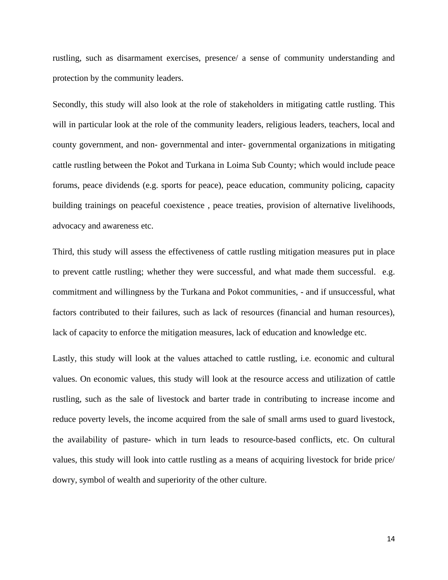rustling, such as disarmament exercises, presence/ a sense of community understanding and protection by the community leaders.

Secondly, this study will also look at the role of stakeholders in mitigating cattle rustling. This will in particular look at the role of the community leaders, religious leaders, teachers, local and county government, and non- governmental and inter- governmental organizations in mitigating cattle rustling between the Pokot and Turkana in Loima Sub County; which would include peace forums, peace dividends (e.g. sports for peace), peace education, community policing, capacity building trainings on peaceful coexistence , peace treaties, provision of alternative livelihoods, advocacy and awareness etc.

Third, this study will assess the effectiveness of cattle rustling mitigation measures put in place to prevent cattle rustling; whether they were successful, and what made them successful. e.g. commitment and willingness by the Turkana and Pokot communities, - and if unsuccessful, what factors contributed to their failures, such as lack of resources (financial and human resources), lack of capacity to enforce the mitigation measures, lack of education and knowledge etc.

Lastly, this study will look at the values attached to cattle rustling, i.e. economic and cultural values. On economic values, this study will look at the resource access and utilization of cattle rustling, such as the sale of livestock and barter trade in contributing to increase income and reduce poverty levels, the income acquired from the sale of small arms used to guard livestock, the availability of pasture- which in turn leads to resource-based conflicts, etc. On cultural values, this study will look into cattle rustling as a means of acquiring livestock for bride price/ dowry, symbol of wealth and superiority of the other culture.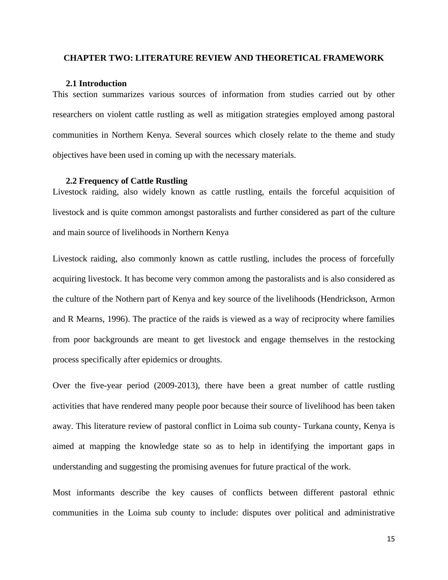#### <span id="page-14-1"></span><span id="page-14-0"></span>**CHAPTER TWO: LITERATURE REVIEW AND THEORETICAL FRAMEWORK**

#### **2.1 Introduction**

This section summarizes various sources of information from studies carried out by other researchers on violent cattle rustling as well as mitigation strategies employed among pastoral communities in Northern Kenya. Several sources which closely relate to the theme and study objectives have been used in coming up with the necessary materials.

#### **2.2 Frequency of Cattle Rustling**

<span id="page-14-2"></span>Livestock raiding, also widely known as cattle rustling, entails the forceful acquisition of livestock and is quite common amongst pastoralists and further considered as part of the culture and main source of livelihoods in Northern Kenya

Livestock raiding, also commonly known as cattle rustling, includes the process of forcefully acquiring livestock. It has become very common among the pastoralists and is also considered as the culture of the Nothern part of Kenya and key source of the livelihoods (Hendrickson, Armon and R Mearns, 1996). The practice of the raids is viewed as a way of reciprocity where families from poor backgrounds are meant to get livestock and engage themselves in the restocking process specifically after epidemics or droughts.

Over the five-year period (2009-2013), there have been a great number of cattle rustling activities that have rendered many people poor because their source of livelihood has been taken away. This literature review of pastoral conflict in Loima sub county- Turkana county, Kenya is aimed at mapping the knowledge state so as to help in identifying the important gaps in understanding and suggesting the promising avenues for future practical of the work.

Most informants describe the key causes of conflicts between different pastoral ethnic communities in the Loima sub county to include: disputes over political and administrative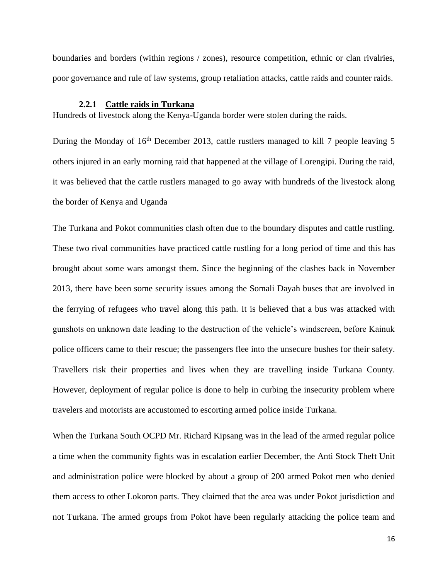boundaries and borders (within regions / zones), resource competition, ethnic or clan rivalries, poor governance and rule of law systems, group retaliation attacks, cattle raids and counter raids.

#### **2.2.1 Cattle raids in Turkana**

<span id="page-15-0"></span>Hundreds of livestock along the Kenya-Uganda border were stolen during the raids.

During the Monday of 16<sup>th</sup> December 2013, cattle rustlers managed to kill 7 people leaving 5 others injured in an early morning raid that happened at the village of Lorengipi. During the raid, it was believed that the cattle rustlers managed to go away with hundreds of the livestock along the border of Kenya and Uganda

The Turkana and Pokot communities clash often due to the boundary disputes and cattle rustling. These two rival communities have practiced cattle rustling for a long period of time and this has brought about some wars amongst them. Since the beginning of the clashes back in November 2013, there have been some security issues among the Somali Dayah buses that are involved in the ferrying of refugees who travel along this path. It is believed that a bus was attacked with gunshots on unknown date leading to the destruction of the vehicle's windscreen, before Kainuk police officers came to their rescue; the passengers flee into the unsecure bushes for their safety. Travellers risk their properties and lives when they are travelling inside Turkana County. However, deployment of regular police is done to help in curbing the insecurity problem where travelers and motorists are accustomed to escorting armed police inside Turkana.

When the Turkana South OCPD Mr. Richard Kipsang was in the lead of the armed regular police a time when the community fights was in escalation earlier December, the Anti Stock Theft Unit and administration police were blocked by about a group of 200 armed Pokot men who denied them access to other Lokoron parts. They claimed that the area was under Pokot jurisdiction and not Turkana. The armed groups from Pokot have been regularly attacking the police team and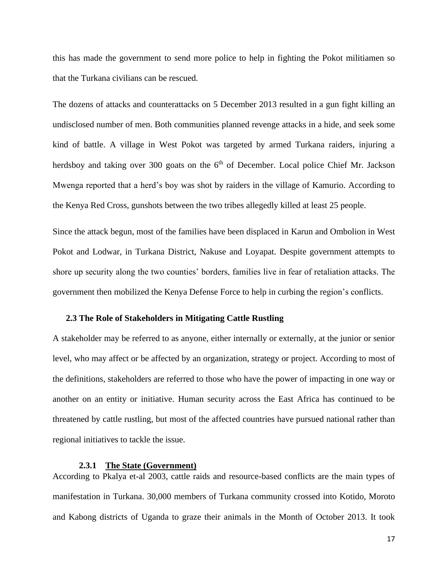this has made the government to send more police to help in fighting the Pokot militiamen so that the Turkana civilians can be rescued.

The dozens of attacks and counterattacks on 5 December 2013 resulted in a gun fight killing an undisclosed number of men. Both communities planned revenge attacks in a hide, and seek some kind of battle. A village in West Pokot was targeted by armed Turkana raiders, injuring a herdsboy and taking over 300 goats on the  $6<sup>th</sup>$  of December. Local police Chief Mr. Jackson Mwenga reported that a herd's boy was shot by raiders in the village of Kamurio. According to the Kenya Red Cross, gunshots between the two tribes allegedly killed at least 25 people.

Since the attack begun, most of the families have been displaced in Karun and Ombolion in West Pokot and Lodwar, in Turkana District, Nakuse and Loyapat. Despite government attempts to shore up security along the two counties' borders, families live in fear of retaliation attacks. The government then mobilized the Kenya Defense Force to help in curbing the region's conflicts.

### <span id="page-16-0"></span>**2.3 The Role of Stakeholders in Mitigating Cattle Rustling**

A stakeholder may be referred to as anyone, either internally or externally, at the junior or senior level, who may affect or be affected by an organization, strategy or project. According to most of the definitions, stakeholders are referred to those who have the power of impacting in one way or another on an entity or initiative. Human security across the East Africa has continued to be threatened by cattle rustling, but most of the affected countries have pursued national rather than regional initiatives to tackle the issue.

#### **2.3.1 The State (Government)**

<span id="page-16-1"></span>According to Pkalya et-al 2003, cattle raids and resource-based conflicts are the main types of manifestation in Turkana. 30,000 members of Turkana community crossed into Kotido, Moroto and Kabong districts of Uganda to graze their animals in the Month of October 2013. It took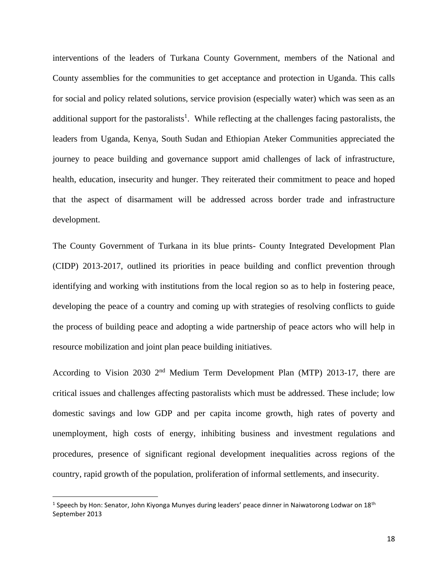interventions of the leaders of Turkana County Government, members of the National and County assemblies for the communities to get acceptance and protection in Uganda. This calls for social and policy related solutions, service provision (especially water) which was seen as an additional support for the pastoralists<sup>1</sup>. While reflecting at the challenges facing pastoralists, the leaders from Uganda, Kenya, South Sudan and Ethiopian Ateker Communities appreciated the journey to peace building and governance support amid challenges of lack of infrastructure, health, education, insecurity and hunger. They reiterated their commitment to peace and hoped that the aspect of disarmament will be addressed across border trade and infrastructure development.

The County Government of Turkana in its blue prints- County Integrated Development Plan (CIDP) 2013-2017, outlined its priorities in peace building and conflict prevention through identifying and working with institutions from the local region so as to help in fostering peace, developing the peace of a country and coming up with strategies of resolving conflicts to guide the process of building peace and adopting a wide partnership of peace actors who will help in resource mobilization and joint plan peace building initiatives.

According to Vision 2030 2nd Medium Term Development Plan (MTP) 2013-17, there are critical issues and challenges affecting pastoralists which must be addressed. These include; low domestic savings and low GDP and per capita income growth, high rates of poverty and unemployment, high costs of energy, inhibiting business and investment regulations and procedures, presence of significant regional development inequalities across regions of the country, rapid growth of the population, proliferation of informal settlements, and insecurity.

<sup>&</sup>lt;sup>1</sup> Speech by Hon: Senator, John Kiyonga Munyes during leaders' peace dinner in Naiwatorong Lodwar on 18<sup>th</sup> September 2013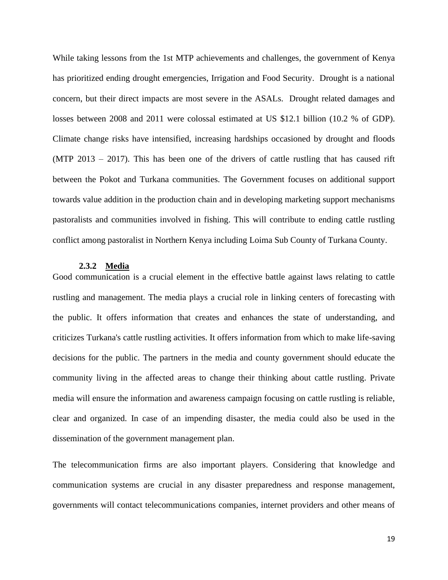While taking lessons from the 1st MTP achievements and challenges, the government of Kenya has prioritized ending drought emergencies, Irrigation and Food Security. Drought is a national concern, but their direct impacts are most severe in the ASALs. Drought related damages and losses between 2008 and 2011 were colossal estimated at US \$12.1 billion (10.2 % of GDP). Climate change risks have intensified, increasing hardships occasioned by drought and floods (MTP 2013 – 2017). This has been one of the drivers of cattle rustling that has caused rift between the Pokot and Turkana communities. The Government focuses on additional support towards value addition in the production chain and in developing marketing support mechanisms pastoralists and communities involved in fishing. This will contribute to ending cattle rustling conflict among pastoralist in Northern Kenya including Loima Sub County of Turkana County.

#### **2.3.2 Media**

<span id="page-18-0"></span>Good communication is a crucial element in the effective battle against laws relating to cattle rustling and management. The media plays a crucial role in linking centers of forecasting with the public. It offers information that creates and enhances the state of understanding, and criticizes Turkana's cattle rustling activities. It offers information from which to make life-saving decisions for the public. The partners in the media and county government should educate the community living in the affected areas to change their thinking about cattle rustling. Private media will ensure the information and awareness campaign focusing on cattle rustling is reliable, clear and organized. In case of an impending disaster, the media could also be used in the dissemination of the government management plan.

The telecommunication firms are also important players. Considering that knowledge and communication systems are crucial in any disaster preparedness and response management, governments will contact telecommunications companies, internet providers and other means of

19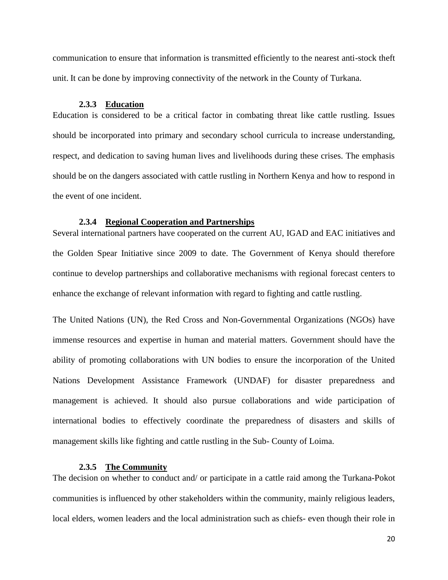communication to ensure that information is transmitted efficiently to the nearest anti-stock theft unit. It can be done by improving connectivity of the network in the County of Turkana.

#### **2.3.3 Education**

<span id="page-19-0"></span>Education is considered to be a critical factor in combating threat like cattle rustling. Issues should be incorporated into primary and secondary school curricula to increase understanding, respect, and dedication to saving human lives and livelihoods during these crises. The emphasis should be on the dangers associated with cattle rustling in Northern Kenya and how to respond in the event of one incident.

#### **2.3.4 Regional Cooperation and Partnerships**

<span id="page-19-1"></span>Several international partners have cooperated on the current AU, IGAD and EAC initiatives and the Golden Spear Initiative since 2009 to date. The Government of Kenya should therefore continue to develop partnerships and collaborative mechanisms with regional forecast centers to enhance the exchange of relevant information with regard to fighting and cattle rustling.

The United Nations (UN), the Red Cross and Non-Governmental Organizations (NGOs) have immense resources and expertise in human and material matters. Government should have the ability of promoting collaborations with UN bodies to ensure the incorporation of the United Nations Development Assistance Framework (UNDAF) for disaster preparedness and management is achieved. It should also pursue collaborations and wide participation of international bodies to effectively coordinate the preparedness of disasters and skills of management skills like fighting and cattle rustling in the Sub- County of Loima.

#### **2.3.5 The Community**

<span id="page-19-2"></span>The decision on whether to conduct and/ or participate in a cattle raid among the Turkana-Pokot communities is influenced by other stakeholders within the community, mainly religious leaders, local elders, women leaders and the local administration such as chiefs- even though their role in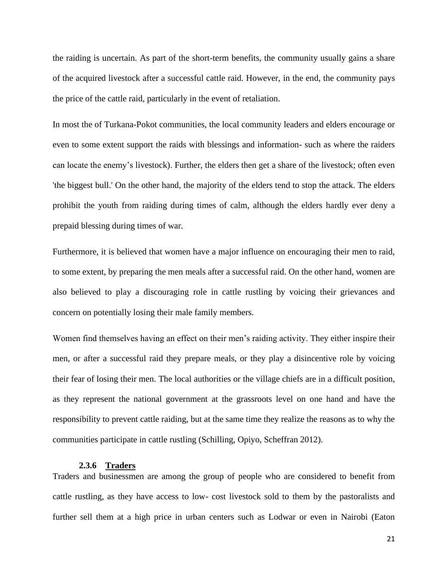the raiding is uncertain. As part of the short-term benefits, the community usually gains a share of the acquired livestock after a successful cattle raid. However, in the end, the community pays the price of the cattle raid, particularly in the event of retaliation.

In most the of Turkana-Pokot communities, the local community leaders and elders encourage or even to some extent support the raids with blessings and information- such as where the raiders can locate the enemy's livestock). Further, the elders then get a share of the livestock; often even 'the biggest bull.' On the other hand, the majority of the elders tend to stop the attack. The elders prohibit the youth from raiding during times of calm, although the elders hardly ever deny a prepaid blessing during times of war.

Furthermore, it is believed that women have a major influence on encouraging their men to raid, to some extent, by preparing the men meals after a successful raid. On the other hand, women are also believed to play a discouraging role in cattle rustling by voicing their grievances and concern on potentially losing their male family members.

Women find themselves having an effect on their men's raiding activity. They either inspire their men, or after a successful raid they prepare meals, or they play a disincentive role by voicing their fear of losing their men. The local authorities or the village chiefs are in a difficult position, as they represent the national government at the grassroots level on one hand and have the responsibility to prevent cattle raiding, but at the same time they realize the reasons as to why the communities participate in cattle rustling (Schilling, Opiyo, Scheffran 2012).

#### **2.3.6 Traders**

<span id="page-20-0"></span>Traders and businessmen are among the group of people who are considered to benefit from cattle rustling, as they have access to low- cost livestock sold to them by the pastoralists and further sell them at a high price in urban centers such as Lodwar or even in Nairobi (Eaton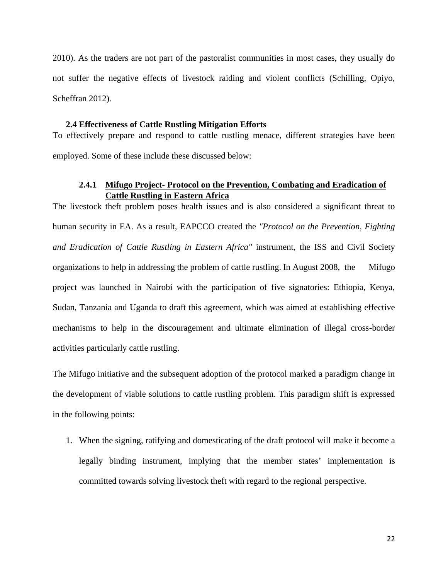2010). As the traders are not part of the pastoralist communities in most cases, they usually do not suffer the negative effects of livestock raiding and violent conflicts (Schilling, Opiyo, Scheffran 2012).

#### **2.4 Effectiveness of Cattle Rustling Mitigation Efforts**

<span id="page-21-0"></span>To effectively prepare and respond to cattle rustling menace, different strategies have been employed. Some of these include these discussed below:

### **2.4.1 Mifugo Project- Protocol on the Prevention, Combating and Eradication of Cattle Rustling in Eastern Africa**

<span id="page-21-1"></span>The livestock theft problem poses health issues and is also considered a significant threat to human security in EA. As a result, EAPCCO created the *"Protocol on the Prevention, Fighting and Eradication of Cattle Rustling in Eastern Africa"* instrument, the ISS and Civil Society organizations to help in addressing the problem of cattle rustling. In August 2008, the Mifugo project was launched in Nairobi with the participation of five signatories: Ethiopia, Kenya, Sudan, Tanzania and Uganda to draft this agreement, which was aimed at establishing effective mechanisms to help in the discouragement and ultimate elimination of illegal cross-border activities particularly cattle rustling.

The Mifugo initiative and the subsequent adoption of the protocol marked a paradigm change in the development of viable solutions to cattle rustling problem. This paradigm shift is expressed in the following points:

1. When the signing, ratifying and domesticating of the draft protocol will make it become a legally binding instrument, implying that the member states' implementation is committed towards solving livestock theft with regard to the regional perspective.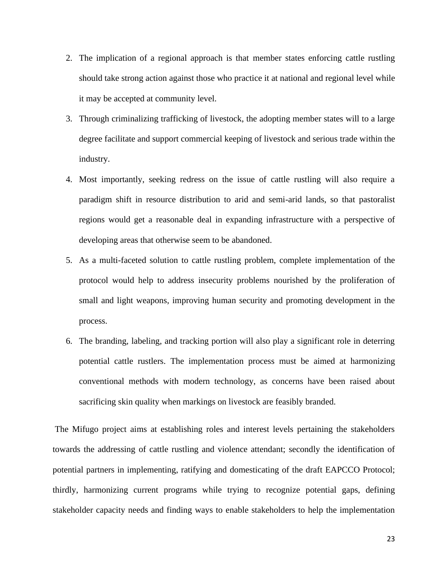- 2. The implication of a regional approach is that member states enforcing cattle rustling should take strong action against those who practice it at national and regional level while it may be accepted at community level.
- 3. Through criminalizing trafficking of livestock, the adopting member states will to a large degree facilitate and support commercial keeping of livestock and serious trade within the industry.
- 4. Most importantly, seeking redress on the issue of cattle rustling will also require a paradigm shift in resource distribution to arid and semi-arid lands, so that pastoralist regions would get a reasonable deal in expanding infrastructure with a perspective of developing areas that otherwise seem to be abandoned.
- 5. As a multi-faceted solution to cattle rustling problem, complete implementation of the protocol would help to address insecurity problems nourished by the proliferation of small and light weapons, improving human security and promoting development in the process.
- 6. The branding, labeling, and tracking portion will also play a significant role in deterring potential cattle rustlers. The implementation process must be aimed at harmonizing conventional methods with modern technology, as concerns have been raised about sacrificing skin quality when markings on livestock are feasibly branded.

The Mifugo project aims at establishing roles and interest levels pertaining the stakeholders towards the addressing of cattle rustling and violence attendant; secondly the identification of potential partners in implementing, ratifying and domesticating of the draft EAPCCO Protocol; thirdly, harmonizing current programs while trying to recognize potential gaps, defining stakeholder capacity needs and finding ways to enable stakeholders to help the implementation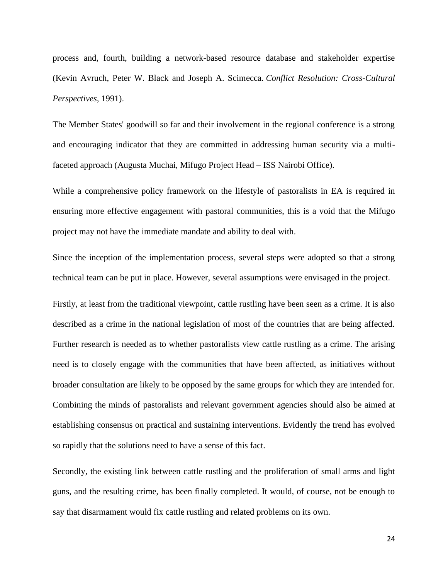process and, fourth, building a network-based resource database and stakeholder expertise (Kevin Avruch, Peter W. Black and Joseph A. Scimecca. *Conflict Resolution: Cross-Cultural Perspectives*, 1991).

The Member States' goodwill so far and their involvement in the regional conference is a strong and encouraging indicator that they are committed in addressing human security via a multifaceted approach (Augusta Muchai, Mifugo Project Head – ISS Nairobi Office).

While a comprehensive policy framework on the lifestyle of pastoralists in EA is required in ensuring more effective engagement with pastoral communities, this is a void that the Mifugo project may not have the immediate mandate and ability to deal with.

Since the inception of the implementation process, several steps were adopted so that a strong technical team can be put in place. However, several assumptions were envisaged in the project.

Firstly, at least from the traditional viewpoint, cattle rustling have been seen as a crime. It is also described as a crime in the national legislation of most of the countries that are being affected. Further research is needed as to whether pastoralists view cattle rustling as a crime. The arising need is to closely engage with the communities that have been affected, as initiatives without broader consultation are likely to be opposed by the same groups for which they are intended for. Combining the minds of pastoralists and relevant government agencies should also be aimed at establishing consensus on practical and sustaining interventions. Evidently the trend has evolved so rapidly that the solutions need to have a sense of this fact.

Secondly, the existing link between cattle rustling and the proliferation of small arms and light guns, and the resulting crime, has been finally completed. It would, of course, not be enough to say that disarmament would fix cattle rustling and related problems on its own.

24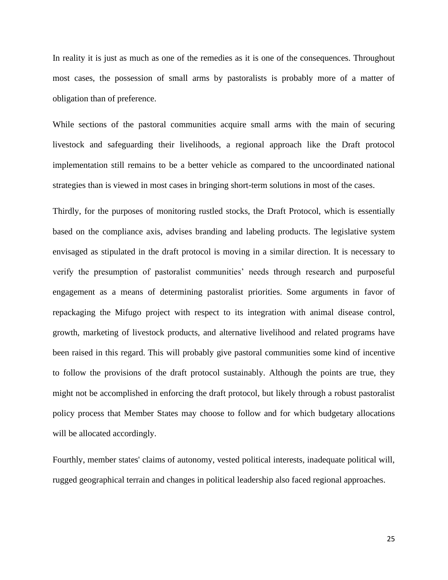In reality it is just as much as one of the remedies as it is one of the consequences. Throughout most cases, the possession of small arms by pastoralists is probably more of a matter of obligation than of preference.

While sections of the pastoral communities acquire small arms with the main of securing livestock and safeguarding their livelihoods, a regional approach like the Draft protocol implementation still remains to be a better vehicle as compared to the uncoordinated national strategies than is viewed in most cases in bringing short-term solutions in most of the cases.

Thirdly, for the purposes of monitoring rustled stocks, the Draft Protocol, which is essentially based on the compliance axis, advises branding and labeling products. The legislative system envisaged as stipulated in the draft protocol is moving in a similar direction. It is necessary to verify the presumption of pastoralist communities' needs through research and purposeful engagement as a means of determining pastoralist priorities. Some arguments in favor of repackaging the Mifugo project with respect to its integration with animal disease control, growth, marketing of livestock products, and alternative livelihood and related programs have been raised in this regard. This will probably give pastoral communities some kind of incentive to follow the provisions of the draft protocol sustainably. Although the points are true, they might not be accomplished in enforcing the draft protocol, but likely through a robust pastoralist policy process that Member States may choose to follow and for which budgetary allocations will be allocated accordingly.

Fourthly, member states' claims of autonomy, vested political interests, inadequate political will, rugged geographical terrain and changes in political leadership also faced regional approaches.

25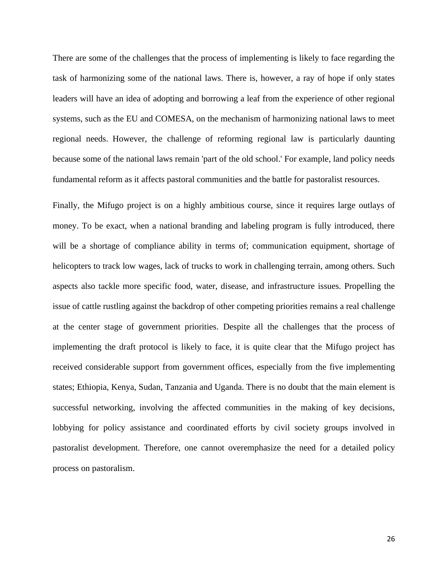There are some of the challenges that the process of implementing is likely to face regarding the task of harmonizing some of the national laws. There is, however, a ray of hope if only states leaders will have an idea of adopting and borrowing a leaf from the experience of other regional systems, such as the EU and COMESA, on the mechanism of harmonizing national laws to meet regional needs. However, the challenge of reforming regional law is particularly daunting because some of the national laws remain 'part of the old school.' For example, land policy needs fundamental reform as it affects pastoral communities and the battle for pastoralist resources.

Finally, the Mifugo project is on a highly ambitious course, since it requires large outlays of money. To be exact, when a national branding and labeling program is fully introduced, there will be a shortage of compliance ability in terms of; communication equipment, shortage of helicopters to track low wages, lack of trucks to work in challenging terrain, among others. Such aspects also tackle more specific food, water, disease, and infrastructure issues. Propelling the issue of cattle rustling against the backdrop of other competing priorities remains a real challenge at the center stage of government priorities. Despite all the challenges that the process of implementing the draft protocol is likely to face, it is quite clear that the Mifugo project has received considerable support from government offices, especially from the five implementing states; Ethiopia, Kenya, Sudan, Tanzania and Uganda. There is no doubt that the main element is successful networking, involving the affected communities in the making of key decisions, lobbying for policy assistance and coordinated efforts by civil society groups involved in pastoralist development. Therefore, one cannot overemphasize the need for a detailed policy process on pastoralism.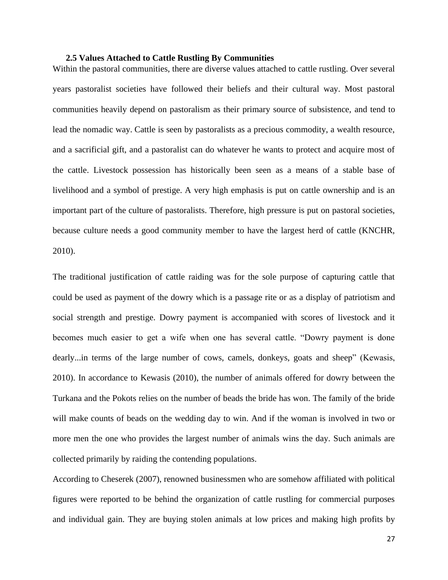#### **2.5 Values Attached to Cattle Rustling By Communities**

<span id="page-26-0"></span>Within the pastoral communities, there are diverse values attached to cattle rustling. Over several years pastoralist societies have followed their beliefs and their cultural way. Most pastoral communities heavily depend on pastoralism as their primary source of subsistence, and tend to lead the nomadic way. Cattle is seen by pastoralists as a precious commodity, a wealth resource, and a sacrificial gift, and a pastoralist can do whatever he wants to protect and acquire most of the cattle. Livestock possession has historically been seen as a means of a stable base of livelihood and a symbol of prestige. A very high emphasis is put on cattle ownership and is an important part of the culture of pastoralists. Therefore, high pressure is put on pastoral societies, because culture needs a good community member to have the largest herd of cattle (KNCHR, 2010).

The traditional justification of cattle raiding was for the sole purpose of capturing cattle that could be used as payment of the dowry which is a passage rite or as a display of patriotism and social strength and prestige. Dowry payment is accompanied with scores of livestock and it becomes much easier to get a wife when one has several cattle. "Dowry payment is done dearly...in terms of the large number of cows, camels, donkeys, goats and sheep" (Kewasis, 2010). In accordance to Kewasis (2010), the number of animals offered for dowry between the Turkana and the Pokots relies on the number of beads the bride has won. The family of the bride will make counts of beads on the wedding day to win. And if the woman is involved in two or more men the one who provides the largest number of animals wins the day. Such animals are collected primarily by raiding the contending populations.

According to Cheserek (2007), renowned businessmen who are somehow affiliated with political figures were reported to be behind the organization of cattle rustling for commercial purposes and individual gain. They are buying stolen animals at low prices and making high profits by

27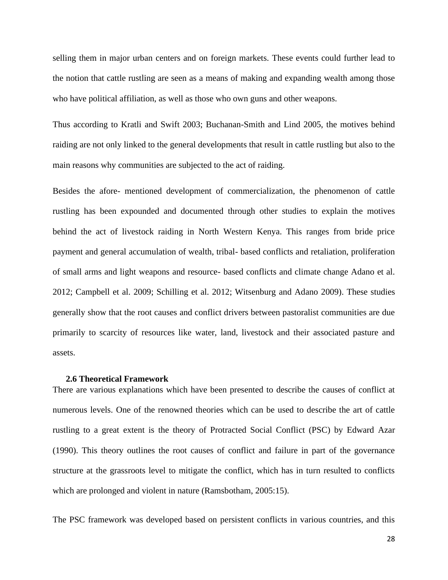selling them in major urban centers and on foreign markets. These events could further lead to the notion that cattle rustling are seen as a means of making and expanding wealth among those who have political affiliation, as well as those who own guns and other weapons.

Thus according to Kratli and Swift 2003; Buchanan-Smith and Lind 2005, the motives behind raiding are not only linked to the general developments that result in cattle rustling but also to the main reasons why communities are subjected to the act of raiding.

Besides the afore- mentioned development of commercialization, the phenomenon of cattle rustling has been expounded and documented through other studies to explain the motives behind the act of livestock raiding in North Western Kenya. This ranges from bride price payment and general accumulation of wealth, tribal- based conflicts and retaliation, proliferation of small arms and light weapons and resource- based conflicts and climate change Adano et al. 2012; Campbell et al. 2009; Schilling et al. 2012; Witsenburg and Adano 2009). These studies generally show that the root causes and conflict drivers between pastoralist communities are due primarily to scarcity of resources like water, land, livestock and their associated pasture and assets.

#### **2.6 Theoretical Framework**

<span id="page-27-0"></span>There are various explanations which have been presented to describe the causes of conflict at numerous levels. One of the renowned theories which can be used to describe the art of cattle rustling to a great extent is the theory of Protracted Social Conflict (PSC) by Edward Azar (1990). This theory outlines the root causes of conflict and failure in part of the governance structure at the grassroots level to mitigate the conflict, which has in turn resulted to conflicts which are prolonged and violent in nature (Ramsbotham, 2005:15).

The PSC framework was developed based on persistent conflicts in various countries, and this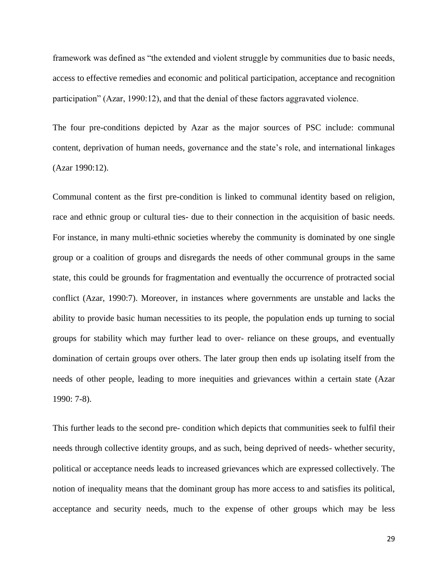framework was defined as "the extended and violent struggle by communities due to basic needs, access to effective remedies and economic and political participation, acceptance and recognition participation" (Azar, 1990:12), and that the denial of these factors aggravated violence.

The four pre-conditions depicted by Azar as the major sources of PSC include: communal content, deprivation of human needs, governance and the state's role, and international linkages (Azar 1990:12).

Communal content as the first pre-condition is linked to communal identity based on religion, race and ethnic group or cultural ties- due to their connection in the acquisition of basic needs. For instance, in many multi-ethnic societies whereby the community is dominated by one single group or a coalition of groups and disregards the needs of other communal groups in the same state, this could be grounds for fragmentation and eventually the occurrence of protracted social conflict (Azar, 1990:7). Moreover, in instances where governments are unstable and lacks the ability to provide basic human necessities to its people, the population ends up turning to social groups for stability which may further lead to over- reliance on these groups, and eventually domination of certain groups over others. The later group then ends up isolating itself from the needs of other people, leading to more inequities and grievances within a certain state (Azar 1990: 7-8).

This further leads to the second pre- condition which depicts that communities seek to fulfil their needs through collective identity groups, and as such, being deprived of needs- whether security, political or acceptance needs leads to increased grievances which are expressed collectively. The notion of inequality means that the dominant group has more access to and satisfies its political, acceptance and security needs, much to the expense of other groups which may be less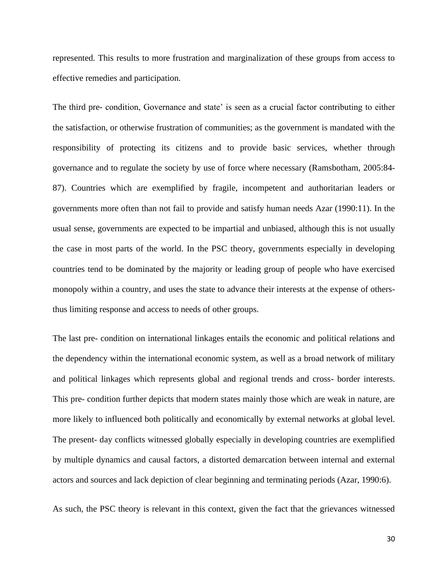represented. This results to more frustration and marginalization of these groups from access to effective remedies and participation.

The third pre- condition, Governance and state' is seen as a crucial factor contributing to either the satisfaction, or otherwise frustration of communities; as the government is mandated with the responsibility of protecting its citizens and to provide basic services, whether through governance and to regulate the society by use of force where necessary (Ramsbotham, 2005:84- 87). Countries which are exemplified by fragile, incompetent and authoritarian leaders or governments more often than not fail to provide and satisfy human needs Azar (1990:11). In the usual sense, governments are expected to be impartial and unbiased, although this is not usually the case in most parts of the world. In the PSC theory, governments especially in developing countries tend to be dominated by the majority or leading group of people who have exercised monopoly within a country, and uses the state to advance their interests at the expense of othersthus limiting response and access to needs of other groups.

The last pre- condition on international linkages entails the economic and political relations and the dependency within the international economic system, as well as a broad network of military and political linkages which represents global and regional trends and cross- border interests. This pre- condition further depicts that modern states mainly those which are weak in nature, are more likely to influenced both politically and economically by external networks at global level. The present- day conflicts witnessed globally especially in developing countries are exemplified by multiple dynamics and causal factors, a distorted demarcation between internal and external actors and sources and lack depiction of clear beginning and terminating periods (Azar, 1990:6).

As such, the PSC theory is relevant in this context, given the fact that the grievances witnessed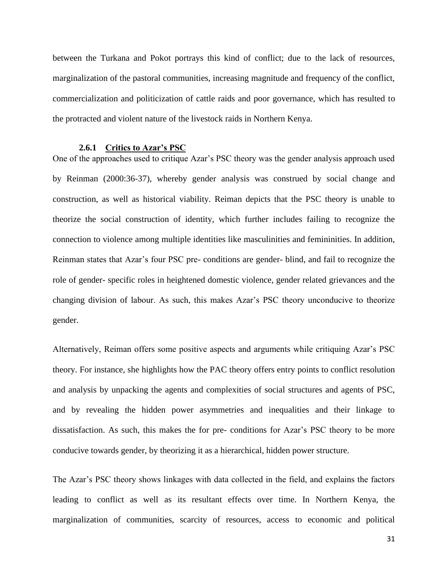between the Turkana and Pokot portrays this kind of conflict; due to the lack of resources, marginalization of the pastoral communities, increasing magnitude and frequency of the conflict, commercialization and politicization of cattle raids and poor governance, which has resulted to the protracted and violent nature of the livestock raids in Northern Kenya.

#### **2.6.1 Critics to Azar's PSC**

<span id="page-30-0"></span>One of the approaches used to critique Azar's PSC theory was the gender analysis approach used by Reinman (2000:36-37), whereby gender analysis was construed by social change and construction, as well as historical viability. Reiman depicts that the PSC theory is unable to theorize the social construction of identity, which further includes failing to recognize the connection to violence among multiple identities like masculinities and femininities. In addition, Reinman states that Azar's four PSC pre- conditions are gender- blind, and fail to recognize the role of gender- specific roles in heightened domestic violence, gender related grievances and the changing division of labour. As such, this makes Azar's PSC theory unconducive to theorize gender.

Alternatively, Reiman offers some positive aspects and arguments while critiquing Azar's PSC theory. For instance, she highlights how the PAC theory offers entry points to conflict resolution and analysis by unpacking the agents and complexities of social structures and agents of PSC, and by revealing the hidden power asymmetries and inequalities and their linkage to dissatisfaction. As such, this makes the for pre- conditions for Azar's PSC theory to be more conducive towards gender, by theorizing it as a hierarchical, hidden power structure.

The Azar's PSC theory shows linkages with data collected in the field, and explains the factors leading to conflict as well as its resultant effects over time. In Northern Kenya, the marginalization of communities, scarcity of resources, access to economic and political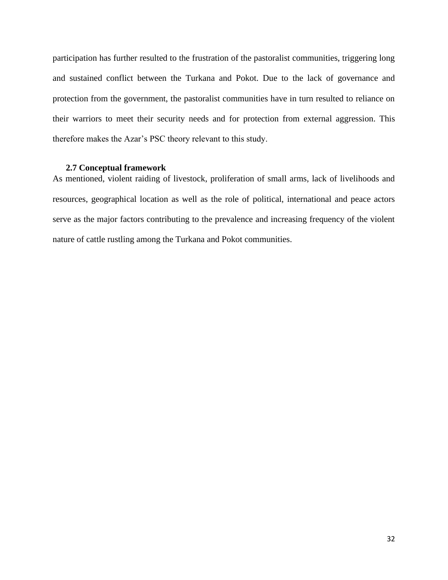participation has further resulted to the frustration of the pastoralist communities, triggering long and sustained conflict between the Turkana and Pokot. Due to the lack of governance and protection from the government, the pastoralist communities have in turn resulted to reliance on their warriors to meet their security needs and for protection from external aggression. This therefore makes the Azar's PSC theory relevant to this study.

#### **2.7 Conceptual framework**

<span id="page-31-0"></span>As mentioned, violent raiding of livestock, proliferation of small arms, lack of livelihoods and resources, geographical location as well as the role of political, international and peace actors serve as the major factors contributing to the prevalence and increasing frequency of the violent nature of cattle rustling among the Turkana and Pokot communities.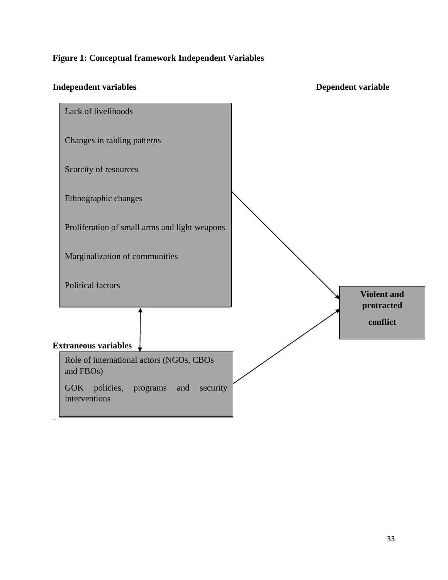# **Figure 1: Conceptual framework Independent Variables**

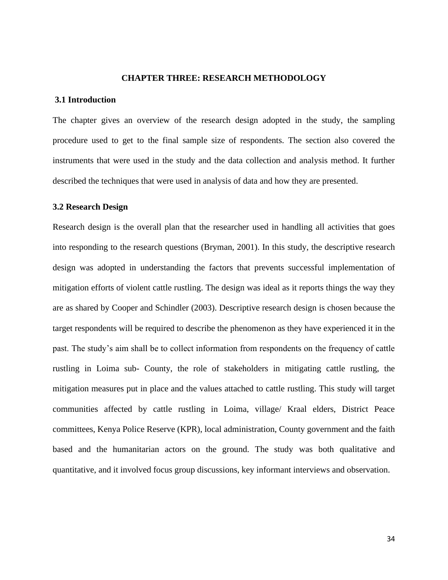#### **CHAPTER THREE: RESEARCH METHODOLOGY**

#### <span id="page-33-1"></span><span id="page-33-0"></span>**3.1 Introduction**

The chapter gives an overview of the research design adopted in the study, the sampling procedure used to get to the final sample size of respondents. The section also covered the instruments that were used in the study and the data collection and analysis method. It further described the techniques that were used in analysis of data and how they are presented.

#### <span id="page-33-2"></span>**3.2 Research Design**

Research design is the overall plan that the researcher used in handling all activities that goes into responding to the research questions (Bryman, 2001). In this study, the descriptive research design was adopted in understanding the factors that prevents successful implementation of mitigation efforts of violent cattle rustling. The design was ideal as it reports things the way they are as shared by Cooper and Schindler (2003). Descriptive research design is chosen because the target respondents will be required to describe the phenomenon as they have experienced it in the past. The study's aim shall be to collect information from respondents on the frequency of cattle rustling in Loima sub- County, the role of stakeholders in mitigating cattle rustling, the mitigation measures put in place and the values attached to cattle rustling. This study will target communities affected by cattle rustling in Loima, village/ Kraal elders, District Peace committees, Kenya Police Reserve (KPR), local administration, County government and the faith based and the humanitarian actors on the ground. The study was both qualitative and quantitative, and it involved focus group discussions, key informant interviews and observation.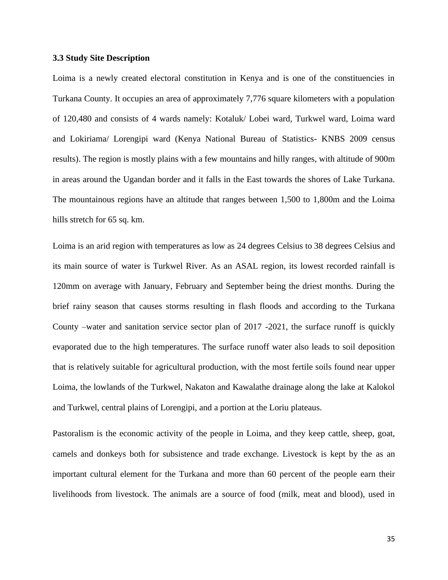#### <span id="page-34-0"></span>**3.3 Study Site Description**

Loima is a newly created electoral constitution in Kenya and is one of the constituencies in Turkana County. It occupies an area of approximately 7,776 square kilometers with a population of 120,480 and consists of 4 wards namely: Kotaluk/ Lobei ward, Turkwel ward, Loima ward and Lokiriama/ Lorengipi ward (Kenya National Bureau of Statistics- KNBS 2009 census results). The region is mostly plains with a few mountains and hilly ranges, with altitude of 900m in areas around the Ugandan border and it falls in the East towards the shores of Lake Turkana. The mountainous regions have an altitude that ranges between 1,500 to 1,800m and the Loima hills stretch for 65 sq. km.

Loima is an arid region with temperatures as low as 24 degrees Celsius to 38 degrees Celsius and its main source of water is Turkwel River. As an ASAL region, its lowest recorded rainfall is 120mm on average with January, February and September being the driest months. During the brief rainy season that causes storms resulting in flash floods and according to the Turkana County –water and sanitation service sector plan of 2017 -2021, the surface runoff is quickly evaporated due to the high temperatures. The surface runoff water also leads to soil deposition that is relatively suitable for agricultural production, with the most fertile soils found near upper Loima, the lowlands of the Turkwel, Nakaton and Kawalathe drainage along the lake at Kalokol and Turkwel, central plains of Lorengipi, and a portion at the Loriu plateaus.

Pastoralism is the economic activity of the people in Loima, and they keep cattle, sheep, goat, camels and donkeys both for subsistence and trade exchange. Livestock is kept by the as an important cultural element for the Turkana and more than 60 percent of the people earn their livelihoods from livestock. The animals are a source of food (milk, meat and blood), used in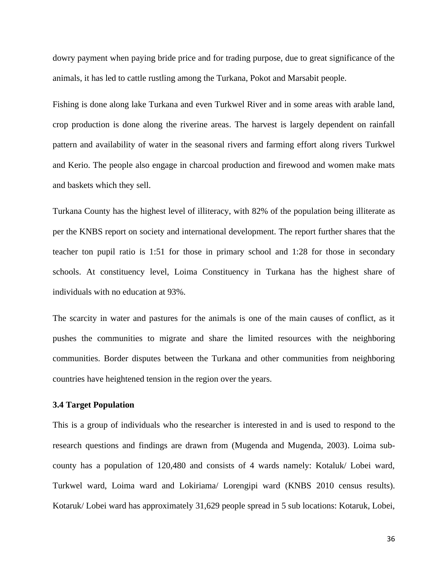dowry payment when paying bride price and for trading purpose, due to great significance of the animals, it has led to cattle rustling among the Turkana, Pokot and Marsabit people.

Fishing is done along lake Turkana and even Turkwel River and in some areas with arable land, crop production is done along the riverine areas. The harvest is largely dependent on rainfall pattern and availability of water in the seasonal rivers and farming effort along rivers Turkwel and Kerio. The people also engage in charcoal production and firewood and women make mats and baskets which they sell.

Turkana County has the highest level of illiteracy, with 82% of the population being illiterate as per the KNBS report on society and international development. The report further shares that the teacher ton pupil ratio is 1:51 for those in primary school and 1:28 for those in secondary schools. At constituency level, Loima Constituency in Turkana has the highest share of individuals with no education at 93%.

The scarcity in water and pastures for the animals is one of the main causes of conflict, as it pushes the communities to migrate and share the limited resources with the neighboring communities. Border disputes between the Turkana and other communities from neighboring countries have heightened tension in the region over the years.

#### <span id="page-35-0"></span>**3.4 Target Population**

This is a group of individuals who the researcher is interested in and is used to respond to the research questions and findings are drawn from (Mugenda and Mugenda, 2003). Loima subcounty has a population of 120,480 and consists of 4 wards namely: Kotaluk/ Lobei ward, Turkwel ward, Loima ward and Lokiriama/ Lorengipi ward (KNBS 2010 census results). Kotaruk/ Lobei ward has approximately 31,629 people spread in 5 sub locations: Kotaruk, Lobei,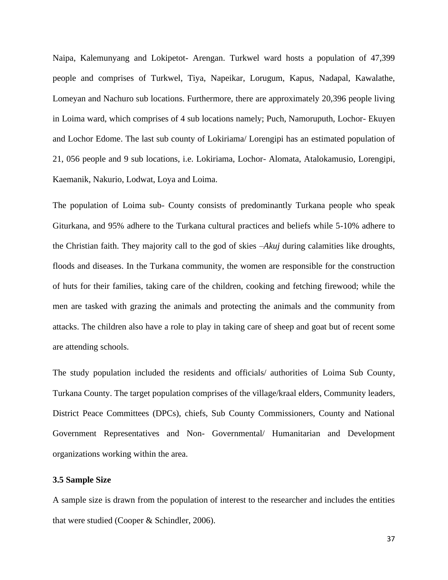Naipa, Kalemunyang and Lokipetot- Arengan. Turkwel ward hosts a population of 47,399 people and comprises of Turkwel, Tiya, Napeikar, Lorugum, Kapus, Nadapal, Kawalathe, Lomeyan and Nachuro sub locations. Furthermore, there are approximately 20,396 people living in Loima ward, which comprises of 4 sub locations namely; Puch, Namoruputh, Lochor- Ekuyen and Lochor Edome. The last sub county of Lokiriama/ Lorengipi has an estimated population of 21, 056 people and 9 sub locations, i.e. Lokiriama, Lochor- Alomata, Atalokamusio, Lorengipi, Kaemanik, Nakurio, Lodwat, Loya and Loima.

The population of Loima sub- County consists of predominantly Turkana people who speak Giturkana, and 95% adhere to the Turkana cultural practices and beliefs while 5-10% adhere to the Christian faith. They majority call to the god of skies –*Akuj* during calamities like droughts, floods and diseases. In the Turkana community, the women are responsible for the construction of huts for their families, taking care of the children, cooking and fetching firewood; while the men are tasked with grazing the animals and protecting the animals and the community from attacks. The children also have a role to play in taking care of sheep and goat but of recent some are attending schools.

The study population included the residents and officials/ authorities of Loima Sub County, Turkana County. The target population comprises of the village/kraal elders, Community leaders, District Peace Committees (DPCs), chiefs, Sub County Commissioners, County and National Government Representatives and Non- Governmental/ Humanitarian and Development organizations working within the area.

## **3.5 Sample Size**

A sample size is drawn from the population of interest to the researcher and includes the entities that were studied (Cooper & Schindler, 2006).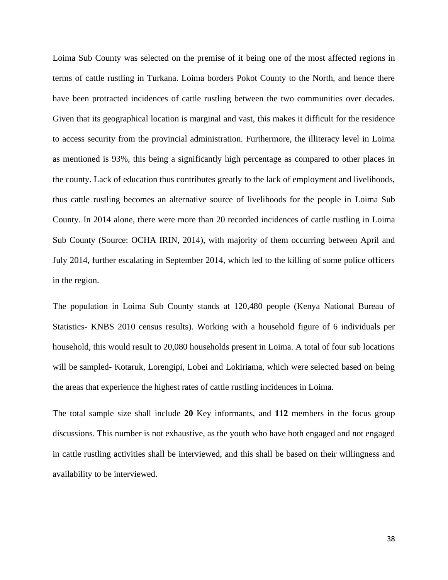Loima Sub County was selected on the premise of it being one of the most affected regions in terms of cattle rustling in Turkana. Loima borders Pokot County to the North, and hence there have been protracted incidences of cattle rustling between the two communities over decades. Given that its geographical location is marginal and vast, this makes it difficult for the residence to access security from the provincial administration. Furthermore, the illiteracy level in Loima as mentioned is 93%, this being a significantly high percentage as compared to other places in the county. Lack of education thus contributes greatly to the lack of employment and livelihoods, thus cattle rustling becomes an alternative source of livelihoods for the people in Loima Sub County. In 2014 alone, there were more than 20 recorded incidences of cattle rustling in Loima Sub County (Source: OCHA IRIN, 2014), with majority of them occurring between April and July 2014, further escalating in September 2014, which led to the killing of some police officers in the region.

The population in Loima Sub County stands at 120,480 people (Kenya National Bureau of Statistics- KNBS 2010 census results). Working with a household figure of 6 individuals per household, this would result to 20,080 households present in Loima. A total of four sub locations will be sampled- Kotaruk, Lorengipi, Lobei and Lokiriama, which were selected based on being the areas that experience the highest rates of cattle rustling incidences in Loima.

The total sample size shall include **20** Key informants, and **112** members in the focus group discussions. This number is not exhaustive, as the youth who have both engaged and not engaged in cattle rustling activities shall be interviewed, and this shall be based on their willingness and availability to be interviewed.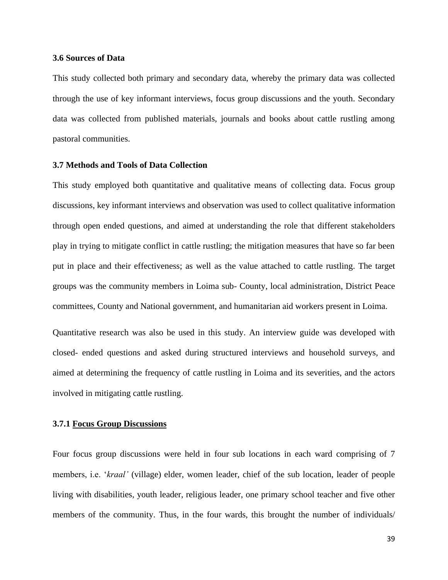#### **3.6 Sources of Data**

This study collected both primary and secondary data, whereby the primary data was collected through the use of key informant interviews, focus group discussions and the youth. Secondary data was collected from published materials, journals and books about cattle rustling among pastoral communities.

## **3.7 Methods and Tools of Data Collection**

This study employed both quantitative and qualitative means of collecting data. Focus group discussions, key informant interviews and observation was used to collect qualitative information through open ended questions, and aimed at understanding the role that different stakeholders play in trying to mitigate conflict in cattle rustling; the mitigation measures that have so far been put in place and their effectiveness; as well as the value attached to cattle rustling. The target groups was the community members in Loima sub- County, local administration, District Peace committees, County and National government, and humanitarian aid workers present in Loima.

Quantitative research was also be used in this study. An interview guide was developed with closed- ended questions and asked during structured interviews and household surveys, and aimed at determining the frequency of cattle rustling in Loima and its severities, and the actors involved in mitigating cattle rustling.

## **3.7.1 Focus Group Discussions**

Four focus group discussions were held in four sub locations in each ward comprising of 7 members, i.e. '*kraal'* (village) elder, women leader, chief of the sub location, leader of people living with disabilities, youth leader, religious leader, one primary school teacher and five other members of the community. Thus, in the four wards, this brought the number of individuals/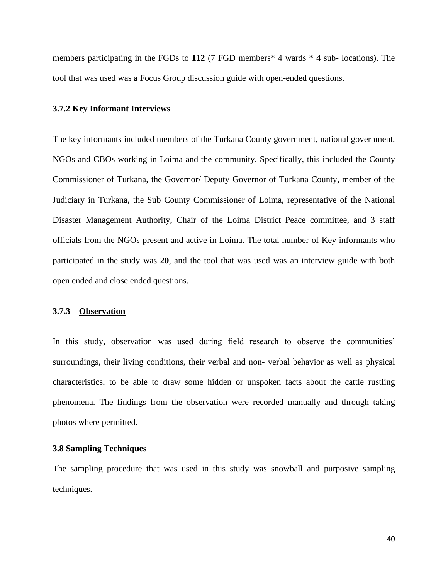members participating in the FGDs to 112 (7 FGD members<sup>\*</sup> 4 wards <sup>\*</sup> 4 sub- locations). The tool that was used was a Focus Group discussion guide with open-ended questions.

#### **3.7.2 Key Informant Interviews**

The key informants included members of the Turkana County government, national government, NGOs and CBOs working in Loima and the community. Specifically, this included the County Commissioner of Turkana, the Governor/ Deputy Governor of Turkana County, member of the Judiciary in Turkana, the Sub County Commissioner of Loima, representative of the National Disaster Management Authority, Chair of the Loima District Peace committee, and 3 staff officials from the NGOs present and active in Loima. The total number of Key informants who participated in the study was **20**, and the tool that was used was an interview guide with both open ended and close ended questions.

#### **3.7.3 Observation**

In this study, observation was used during field research to observe the communities' surroundings, their living conditions, their verbal and non- verbal behavior as well as physical characteristics, to be able to draw some hidden or unspoken facts about the cattle rustling phenomena. The findings from the observation were recorded manually and through taking photos where permitted.

## **3.8 Sampling Techniques**

The sampling procedure that was used in this study was snowball and purposive sampling techniques.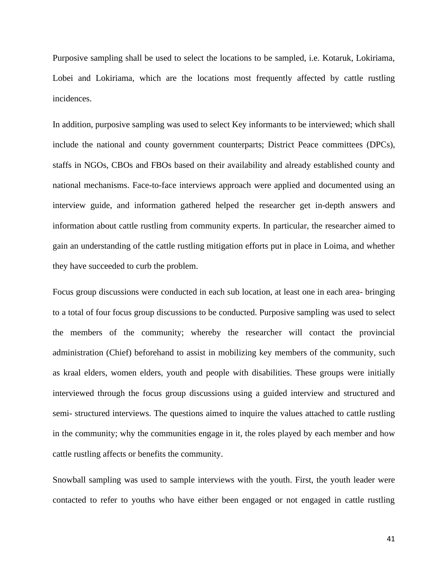Purposive sampling shall be used to select the locations to be sampled, i.e. Kotaruk, Lokiriama, Lobei and Lokiriama, which are the locations most frequently affected by cattle rustling incidences.

In addition, purposive sampling was used to select Key informants to be interviewed; which shall include the national and county government counterparts; District Peace committees (DPCs), staffs in NGOs, CBOs and FBOs based on their availability and already established county and national mechanisms. Face-to-face interviews approach were applied and documented using an interview guide, and information gathered helped the researcher get in-depth answers and information about cattle rustling from community experts. In particular, the researcher aimed to gain an understanding of the cattle rustling mitigation efforts put in place in Loima, and whether they have succeeded to curb the problem.

Focus group discussions were conducted in each sub location, at least one in each area- bringing to a total of four focus group discussions to be conducted. Purposive sampling was used to select the members of the community; whereby the researcher will contact the provincial administration (Chief) beforehand to assist in mobilizing key members of the community, such as kraal elders, women elders, youth and people with disabilities. These groups were initially interviewed through the focus group discussions using a guided interview and structured and semi- structured interviews. The questions aimed to inquire the values attached to cattle rustling in the community; why the communities engage in it, the roles played by each member and how cattle rustling affects or benefits the community.

Snowball sampling was used to sample interviews with the youth. First, the youth leader were contacted to refer to youths who have either been engaged or not engaged in cattle rustling

41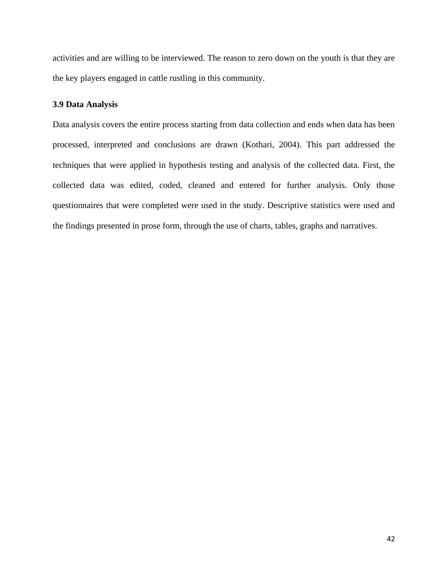activities and are willing to be interviewed. The reason to zero down on the youth is that they are the key players engaged in cattle rustling in this community.

## **3.9 Data Analysis**

Data analysis covers the entire process starting from data collection and ends when data has been processed, interpreted and conclusions are drawn (Kothari, 2004). This part addressed the techniques that were applied in hypothesis testing and analysis of the collected data. First, the collected data was edited, coded, cleaned and entered for further analysis. Only those questionnaires that were completed were used in the study. Descriptive statistics were used and the findings presented in prose form, through the use of charts, tables, graphs and narratives.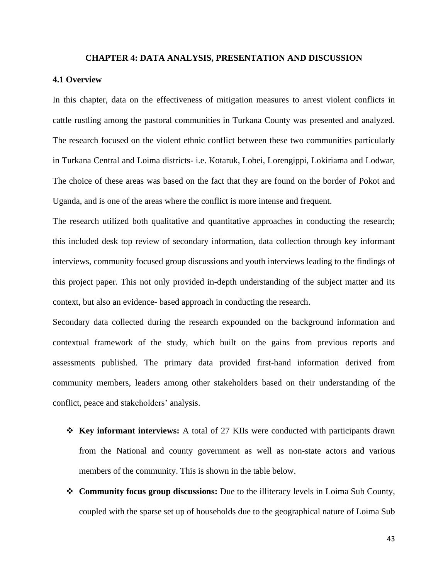#### **CHAPTER 4: DATA ANALYSIS, PRESENTATION AND DISCUSSION**

#### **4.1 Overview**

In this chapter, data on the effectiveness of mitigation measures to arrest violent conflicts in cattle rustling among the pastoral communities in Turkana County was presented and analyzed. The research focused on the violent ethnic conflict between these two communities particularly in Turkana Central and Loima districts- i.e. Kotaruk, Lobei, Lorengippi, Lokiriama and Lodwar, The choice of these areas was based on the fact that they are found on the border of Pokot and Uganda, and is one of the areas where the conflict is more intense and frequent.

The research utilized both qualitative and quantitative approaches in conducting the research; this included desk top review of secondary information, data collection through key informant interviews, community focused group discussions and youth interviews leading to the findings of this project paper. This not only provided in-depth understanding of the subject matter and its context, but also an evidence- based approach in conducting the research.

Secondary data collected during the research expounded on the background information and contextual framework of the study, which built on the gains from previous reports and assessments published. The primary data provided first-hand information derived from community members, leaders among other stakeholders based on their understanding of the conflict, peace and stakeholders' analysis.

- ❖ **Key informant interviews:** A total of 27 KIIs were conducted with participants drawn from the National and county government as well as non-state actors and various members of the community. This is shown in the table below.
- ❖ **Community focus group discussions:** Due to the illiteracy levels in Loima Sub County, coupled with the sparse set up of households due to the geographical nature of Loima Sub

43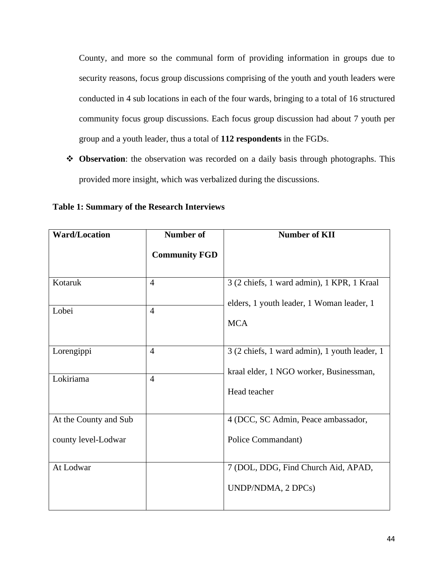County, and more so the communal form of providing information in groups due to security reasons, focus group discussions comprising of the youth and youth leaders were conducted in 4 sub locations in each of the four wards, bringing to a total of 16 structured community focus group discussions. Each focus group discussion had about 7 youth per group and a youth leader, thus a total of **112 respondents** in the FGDs.

❖ **Observation**: the observation was recorded on a daily basis through photographs. This provided more insight, which was verbalized during the discussions.

**Table 1: Summary of the Research Interviews**

| <b>Ward/Location</b>  | <b>Number of</b>     | <b>Number of KII</b>                                    |
|-----------------------|----------------------|---------------------------------------------------------|
|                       | <b>Community FGD</b> |                                                         |
| Kotaruk               | $\overline{4}$       | 3 (2 chiefs, 1 ward admin), 1 KPR, 1 Kraal              |
| Lobei                 | $\overline{4}$       | elders, 1 youth leader, 1 Woman leader, 1<br><b>MCA</b> |
| Lorengippi            | $\overline{4}$       | 3 (2 chiefs, 1 ward admin), 1 youth leader, 1           |
| Lokiriama             | $\overline{4}$       | kraal elder, 1 NGO worker, Businessman,                 |
|                       |                      | Head teacher                                            |
| At the County and Sub |                      | 4 (DCC, SC Admin, Peace ambassador,                     |
| county level-Lodwar   |                      | Police Commandant)                                      |
| At Lodwar             |                      | 7 (DOL, DDG, Find Church Aid, APAD,                     |
|                       |                      | UNDP/NDMA, 2 DPCs)                                      |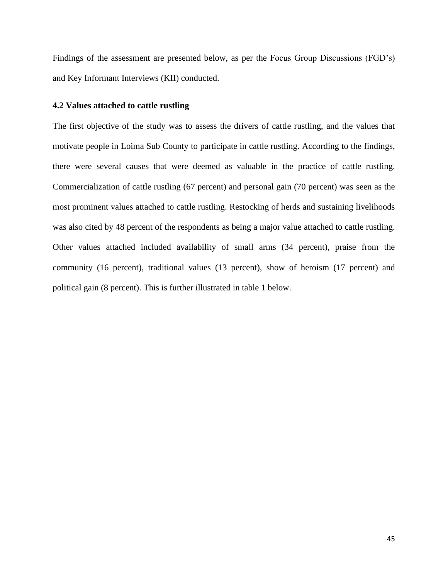Findings of the assessment are presented below, as per the Focus Group Discussions (FGD's) and Key Informant Interviews (KII) conducted.

## **4.2 Values attached to cattle rustling**

The first objective of the study was to assess the drivers of cattle rustling, and the values that motivate people in Loima Sub County to participate in cattle rustling. According to the findings, there were several causes that were deemed as valuable in the practice of cattle rustling. Commercialization of cattle rustling (67 percent) and personal gain (70 percent) was seen as the most prominent values attached to cattle rustling. Restocking of herds and sustaining livelihoods was also cited by 48 percent of the respondents as being a major value attached to cattle rustling. Other values attached included availability of small arms (34 percent), praise from the community (16 percent), traditional values (13 percent), show of heroism (17 percent) and political gain (8 percent). This is further illustrated in table 1 below.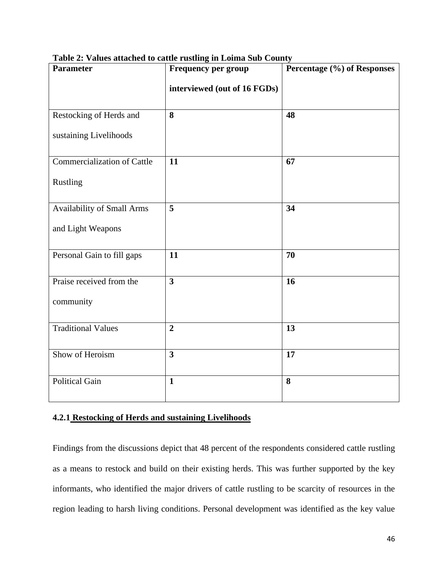| <b>Parameter</b>                   | values analised to cannot asiling in Lonna sub-Count<br><b>Frequency per group</b> | Percentage (%) of Responses |
|------------------------------------|------------------------------------------------------------------------------------|-----------------------------|
|                                    | interviewed (out of 16 FGDs)                                                       |                             |
| Restocking of Herds and            | 8                                                                                  | 48                          |
| sustaining Livelihoods             |                                                                                    |                             |
| <b>Commercialization of Cattle</b> | 11                                                                                 | 67                          |
| Rustling                           |                                                                                    |                             |
| Availability of Small Arms         | 5                                                                                  | 34                          |
| and Light Weapons                  |                                                                                    |                             |
| Personal Gain to fill gaps         | 11                                                                                 | 70                          |
| Praise received from the           | $\overline{\mathbf{3}}$                                                            | 16                          |
| community                          |                                                                                    |                             |
| <b>Traditional Values</b>          | $\overline{2}$                                                                     | 13                          |
| Show of Heroism                    | $\overline{\mathbf{3}}$                                                            | 17                          |
| <b>Political Gain</b>              | $\mathbf{1}$                                                                       | 8                           |

**Table 2: Values attached to cattle rustling in Loima Sub County**

# **4.2.1 Restocking of Herds and sustaining Livelihoods**

Findings from the discussions depict that 48 percent of the respondents considered cattle rustling as a means to restock and build on their existing herds. This was further supported by the key informants, who identified the major drivers of cattle rustling to be scarcity of resources in the region leading to harsh living conditions. Personal development was identified as the key value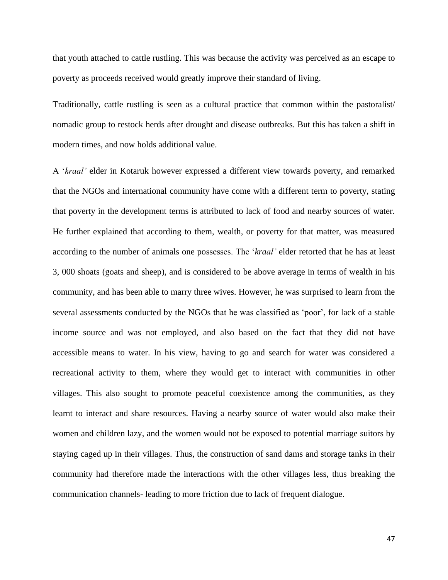that youth attached to cattle rustling. This was because the activity was perceived as an escape to poverty as proceeds received would greatly improve their standard of living.

Traditionally, cattle rustling is seen as a cultural practice that common within the pastoralist/ nomadic group to restock herds after drought and disease outbreaks. But this has taken a shift in modern times, and now holds additional value.

A '*kraal'* elder in Kotaruk however expressed a different view towards poverty, and remarked that the NGOs and international community have come with a different term to poverty, stating that poverty in the development terms is attributed to lack of food and nearby sources of water. He further explained that according to them, wealth, or poverty for that matter, was measured according to the number of animals one possesses. The '*kraal'* elder retorted that he has at least 3, 000 shoats (goats and sheep), and is considered to be above average in terms of wealth in his community, and has been able to marry three wives. However, he was surprised to learn from the several assessments conducted by the NGOs that he was classified as 'poor', for lack of a stable income source and was not employed, and also based on the fact that they did not have accessible means to water. In his view, having to go and search for water was considered a recreational activity to them, where they would get to interact with communities in other villages. This also sought to promote peaceful coexistence among the communities, as they learnt to interact and share resources. Having a nearby source of water would also make their women and children lazy, and the women would not be exposed to potential marriage suitors by staying caged up in their villages. Thus, the construction of sand dams and storage tanks in their community had therefore made the interactions with the other villages less, thus breaking the communication channels- leading to more friction due to lack of frequent dialogue.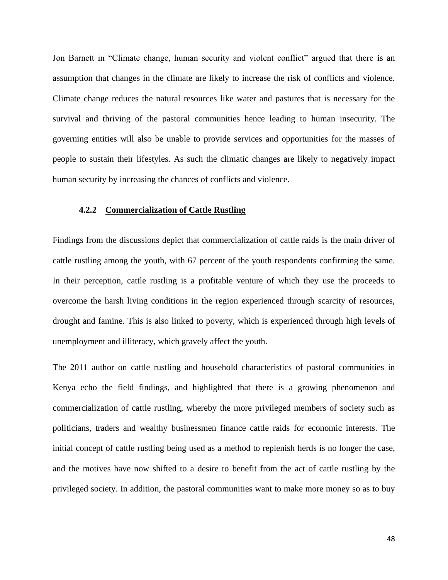Jon Barnett in "Climate change, human security and violent conflict" argued that there is an assumption that changes in the climate are likely to increase the risk of conflicts and violence. Climate change reduces the natural resources like water and pastures that is necessary for the survival and thriving of the pastoral communities hence leading to human insecurity. The governing entities will also be unable to provide services and opportunities for the masses of people to sustain their lifestyles. As such the climatic changes are likely to negatively impact human security by increasing the chances of conflicts and violence.

## **4.2.2 Commercialization of Cattle Rustling**

Findings from the discussions depict that commercialization of cattle raids is the main driver of cattle rustling among the youth, with 67 percent of the youth respondents confirming the same. In their perception, cattle rustling is a profitable venture of which they use the proceeds to overcome the harsh living conditions in the region experienced through scarcity of resources, drought and famine. This is also linked to poverty, which is experienced through high levels of unemployment and illiteracy, which gravely affect the youth.

The 2011 author on cattle rustling and household characteristics of pastoral communities in Kenya echo the field findings, and highlighted that there is a growing phenomenon and commercialization of cattle rustling, whereby the more privileged members of society such as politicians, traders and wealthy businessmen finance cattle raids for economic interests. The initial concept of cattle rustling being used as a method to replenish herds is no longer the case, and the motives have now shifted to a desire to benefit from the act of cattle rustling by the privileged society. In addition, the pastoral communities want to make more money so as to buy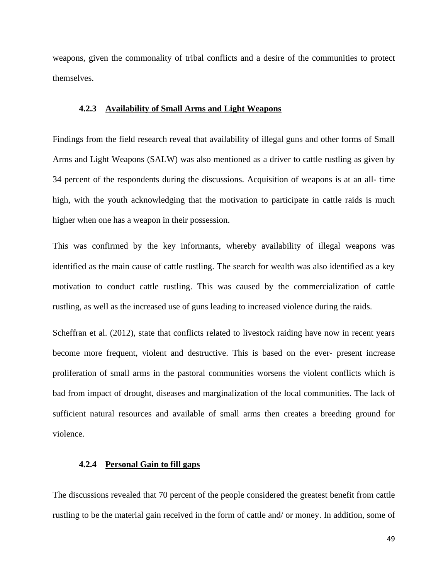weapons, given the commonality of tribal conflicts and a desire of the communities to protect themselves.

#### **4.2.3 Availability of Small Arms and Light Weapons**

Findings from the field research reveal that availability of illegal guns and other forms of Small Arms and Light Weapons (SALW) was also mentioned as a driver to cattle rustling as given by 34 percent of the respondents during the discussions. Acquisition of weapons is at an all- time high, with the youth acknowledging that the motivation to participate in cattle raids is much higher when one has a weapon in their possession.

This was confirmed by the key informants, whereby availability of illegal weapons was identified as the main cause of cattle rustling. The search for wealth was also identified as a key motivation to conduct cattle rustling. This was caused by the commercialization of cattle rustling, as well as the increased use of guns leading to increased violence during the raids.

Scheffran et al. (2012), state that conflicts related to livestock raiding have now in recent years become more frequent, violent and destructive. This is based on the ever- present increase proliferation of small arms in the pastoral communities worsens the violent conflicts which is bad from impact of drought, diseases and marginalization of the local communities. The lack of sufficient natural resources and available of small arms then creates a breeding ground for violence.

#### **4.2.4 Personal Gain to fill gaps**

The discussions revealed that 70 percent of the people considered the greatest benefit from cattle rustling to be the material gain received in the form of cattle and/ or money. In addition, some of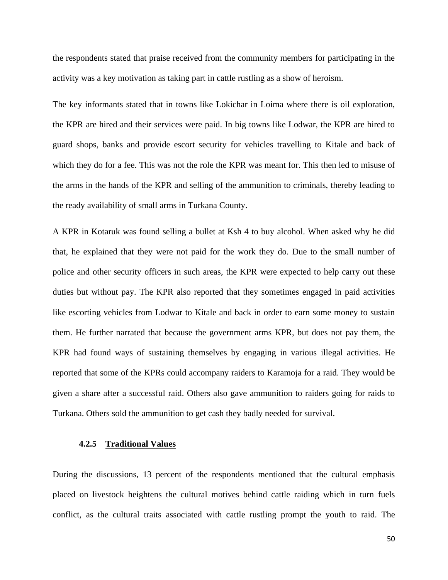the respondents stated that praise received from the community members for participating in the activity was a key motivation as taking part in cattle rustling as a show of heroism.

The key informants stated that in towns like Lokichar in Loima where there is oil exploration, the KPR are hired and their services were paid. In big towns like Lodwar, the KPR are hired to guard shops, banks and provide escort security for vehicles travelling to Kitale and back of which they do for a fee. This was not the role the KPR was meant for. This then led to misuse of the arms in the hands of the KPR and selling of the ammunition to criminals, thereby leading to the ready availability of small arms in Turkana County.

A KPR in Kotaruk was found selling a bullet at Ksh 4 to buy alcohol. When asked why he did that, he explained that they were not paid for the work they do. Due to the small number of police and other security officers in such areas, the KPR were expected to help carry out these duties but without pay. The KPR also reported that they sometimes engaged in paid activities like escorting vehicles from Lodwar to Kitale and back in order to earn some money to sustain them. He further narrated that because the government arms KPR, but does not pay them, the KPR had found ways of sustaining themselves by engaging in various illegal activities. He reported that some of the KPRs could accompany raiders to Karamoja for a raid. They would be given a share after a successful raid. Others also gave ammunition to raiders going for raids to Turkana. Others sold the ammunition to get cash they badly needed for survival.

## **4.2.5 Traditional Values**

During the discussions, 13 percent of the respondents mentioned that the cultural emphasis placed on livestock heightens the cultural motives behind cattle raiding which in turn fuels conflict, as the cultural traits associated with cattle rustling prompt the youth to raid. The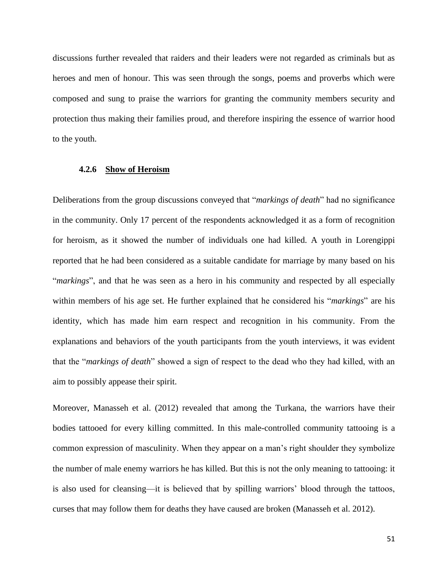discussions further revealed that raiders and their leaders were not regarded as criminals but as heroes and men of honour. This was seen through the songs, poems and proverbs which were composed and sung to praise the warriors for granting the community members security and protection thus making their families proud, and therefore inspiring the essence of warrior hood to the youth.

#### **4.2.6 Show of Heroism**

Deliberations from the group discussions conveyed that "*markings of death*" had no significance in the community. Only 17 percent of the respondents acknowledged it as a form of recognition for heroism, as it showed the number of individuals one had killed. A youth in Lorengippi reported that he had been considered as a suitable candidate for marriage by many based on his "*markings*", and that he was seen as a hero in his community and respected by all especially within members of his age set. He further explained that he considered his "*markings*" are his identity, which has made him earn respect and recognition in his community. From the explanations and behaviors of the youth participants from the youth interviews, it was evident that the "*markings of death*" showed a sign of respect to the dead who they had killed, with an aim to possibly appease their spirit.

Moreover, Manasseh et al. (2012) revealed that among the Turkana, the warriors have their bodies tattooed for every killing committed. In this male-controlled community tattooing is a common expression of masculinity. When they appear on a man's right shoulder they symbolize the number of male enemy warriors he has killed. But this is not the only meaning to tattooing: it is also used for cleansing—it is believed that by spilling warriors' blood through the tattoos, curses that may follow them for deaths they have caused are broken (Manasseh et al. 2012).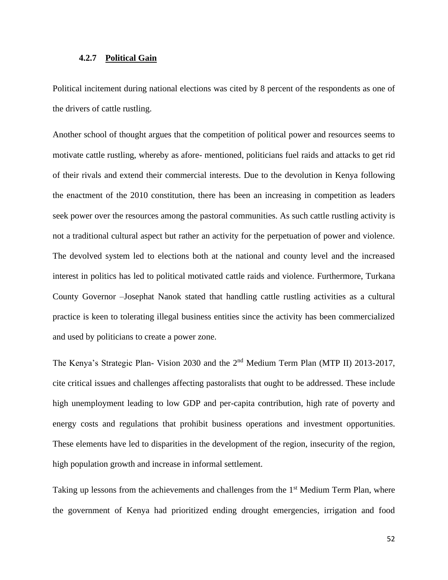#### **4.2.7 Political Gain**

Political incitement during national elections was cited by 8 percent of the respondents as one of the drivers of cattle rustling.

Another school of thought argues that the competition of political power and resources seems to motivate cattle rustling, whereby as afore- mentioned, politicians fuel raids and attacks to get rid of their rivals and extend their commercial interests. Due to the devolution in Kenya following the enactment of the 2010 constitution, there has been an increasing in competition as leaders seek power over the resources among the pastoral communities. As such cattle rustling activity is not a traditional cultural aspect but rather an activity for the perpetuation of power and violence. The devolved system led to elections both at the national and county level and the increased interest in politics has led to political motivated cattle raids and violence. Furthermore, Turkana County Governor –Josephat Nanok stated that handling cattle rustling activities as a cultural practice is keen to tolerating illegal business entities since the activity has been commercialized and used by politicians to create a power zone.

The Kenya's Strategic Plan- Vision 2030 and the 2<sup>nd</sup> Medium Term Plan (MTP II) 2013-2017, cite critical issues and challenges affecting pastoralists that ought to be addressed. These include high unemployment leading to low GDP and per-capita contribution, high rate of poverty and energy costs and regulations that prohibit business operations and investment opportunities. These elements have led to disparities in the development of the region, insecurity of the region, high population growth and increase in informal settlement.

Taking up lessons from the achievements and challenges from the 1<sup>st</sup> Medium Term Plan, where the government of Kenya had prioritized ending drought emergencies, irrigation and food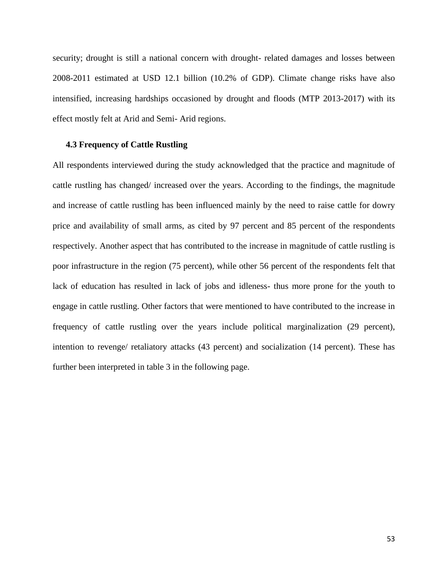security; drought is still a national concern with drought- related damages and losses between 2008-2011 estimated at USD 12.1 billion (10.2% of GDP). Climate change risks have also intensified, increasing hardships occasioned by drought and floods (MTP 2013-2017) with its effect mostly felt at Arid and Semi- Arid regions.

## **4.3 Frequency of Cattle Rustling**

All respondents interviewed during the study acknowledged that the practice and magnitude of cattle rustling has changed/ increased over the years. According to the findings, the magnitude and increase of cattle rustling has been influenced mainly by the need to raise cattle for dowry price and availability of small arms, as cited by 97 percent and 85 percent of the respondents respectively. Another aspect that has contributed to the increase in magnitude of cattle rustling is poor infrastructure in the region (75 percent), while other 56 percent of the respondents felt that lack of education has resulted in lack of jobs and idleness- thus more prone for the youth to engage in cattle rustling. Other factors that were mentioned to have contributed to the increase in frequency of cattle rustling over the years include political marginalization (29 percent), intention to revenge/ retaliatory attacks (43 percent) and socialization (14 percent). These has further been interpreted in table 3 in the following page.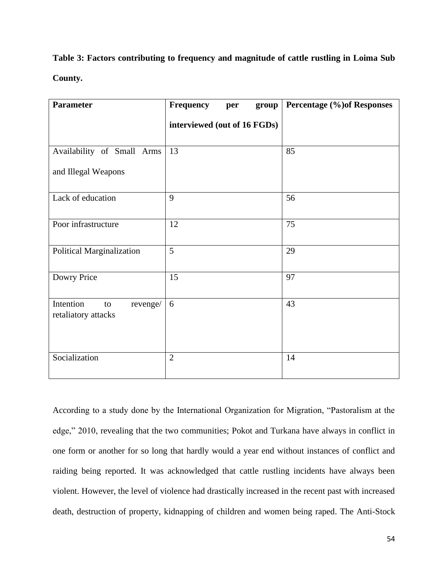**Table 3: Factors contributing to frequency and magnitude of cattle rustling in Loima Sub County.**

| <b>Parameter</b>                                   | Frequency<br>group<br>per    | <b>Percentage (%)of Responses</b> |
|----------------------------------------------------|------------------------------|-----------------------------------|
|                                                    | interviewed (out of 16 FGDs) |                                   |
| Availability of Small Arms                         | 13                           | 85                                |
| and Illegal Weapons                                |                              |                                   |
| Lack of education                                  | 9                            | 56                                |
| Poor infrastructure                                | 12                           | 75                                |
| Political Marginalization                          | 5                            | 29                                |
| Dowry Price                                        | 15                           | 97                                |
| Intention<br>revenge/<br>to<br>retaliatory attacks | 6                            | 43                                |
| Socialization                                      | $\overline{2}$               | 14                                |

According to a study done by the International Organization for Migration, "Pastoralism at the edge," 2010, revealing that the two communities; Pokot and Turkana have always in conflict in one form or another for so long that hardly would a year end without instances of conflict and raiding being reported. It was acknowledged that cattle rustling incidents have always been violent. However, the level of violence had drastically increased in the recent past with increased death, destruction of property, kidnapping of children and women being raped. The Anti-Stock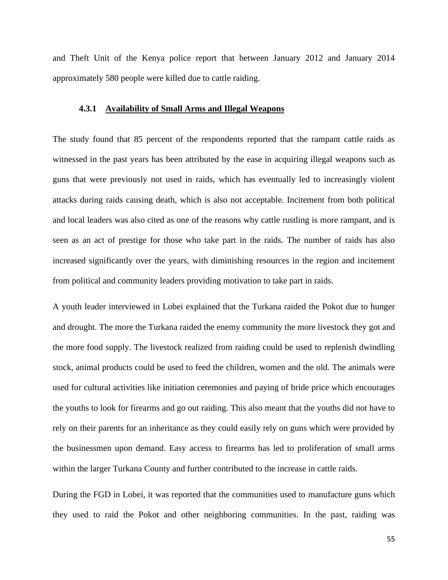and Theft Unit of the Kenya police report that between January 2012 and January 2014 approximately 580 people were killed due to cattle raiding.

#### **4.3.1 Availability of Small Arms and Illegal Weapons**

The study found that 85 percent of the respondents reported that the rampant cattle raids as witnessed in the past years has been attributed by the ease in acquiring illegal weapons such as guns that were previously not used in raids, which has eventually led to increasingly violent attacks during raids causing death, which is also not acceptable. Incitement from both political and local leaders was also cited as one of the reasons why cattle rustling is more rampant, and is seen as an act of prestige for those who take part in the raids. The number of raids has also increased significantly over the years, with diminishing resources in the region and incitement from political and community leaders providing motivation to take part in raids.

A youth leader interviewed in Lobei explained that the Turkana raided the Pokot due to hunger and drought. The more the Turkana raided the enemy community the more livestock they got and the more food supply. The livestock realized from raiding could be used to replenish dwindling stock, animal products could be used to feed the children, women and the old. The animals were used for cultural activities like initiation ceremonies and paying of bride price which encourages the youths to look for firearms and go out raiding. This also meant that the youths did not have to rely on their parents for an inheritance as they could easily rely on guns which were provided by the businessmen upon demand. Easy access to firearms has led to proliferation of small arms within the larger Turkana County and further contributed to the increase in cattle raids.

During the FGD in Lobei, it was reported that the communities used to manufacture guns which they used to raid the Pokot and other neighboring communities. In the past, raiding was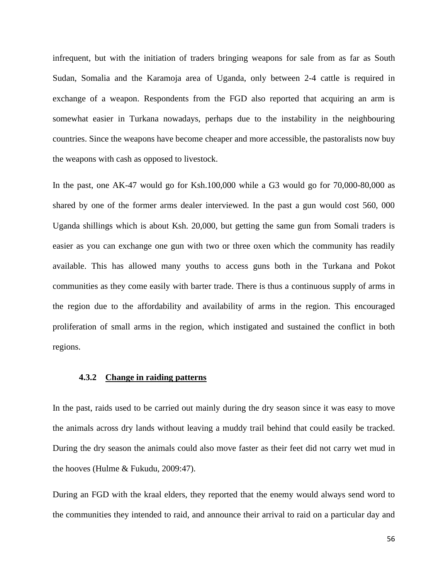infrequent, but with the initiation of traders bringing weapons for sale from as far as South Sudan, Somalia and the Karamoja area of Uganda, only between 2-4 cattle is required in exchange of a weapon. Respondents from the FGD also reported that acquiring an arm is somewhat easier in Turkana nowadays, perhaps due to the instability in the neighbouring countries. Since the weapons have become cheaper and more accessible, the pastoralists now buy the weapons with cash as opposed to livestock.

In the past, one AK-47 would go for Ksh.100,000 while a G3 would go for 70,000-80,000 as shared by one of the former arms dealer interviewed. In the past a gun would cost 560, 000 Uganda shillings which is about Ksh. 20,000, but getting the same gun from Somali traders is easier as you can exchange one gun with two or three oxen which the community has readily available. This has allowed many youths to access guns both in the Turkana and Pokot communities as they come easily with barter trade. There is thus a continuous supply of arms in the region due to the affordability and availability of arms in the region. This encouraged proliferation of small arms in the region, which instigated and sustained the conflict in both regions.

#### **4.3.2 Change in raiding patterns**

In the past, raids used to be carried out mainly during the dry season since it was easy to move the animals across dry lands without leaving a muddy trail behind that could easily be tracked. During the dry season the animals could also move faster as their feet did not carry wet mud in the hooves (Hulme & Fukudu, 2009:47).

During an FGD with the kraal elders, they reported that the enemy would always send word to the communities they intended to raid, and announce their arrival to raid on a particular day and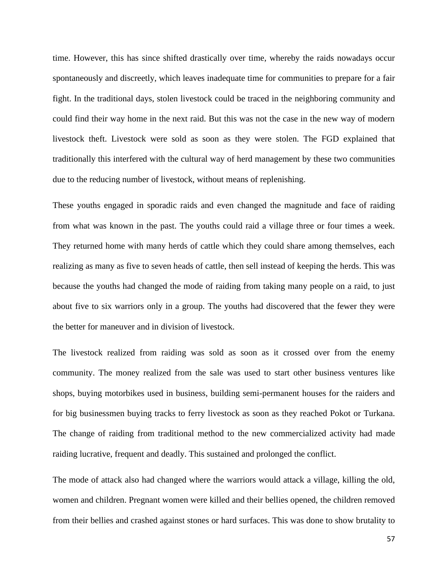time. However, this has since shifted drastically over time, whereby the raids nowadays occur spontaneously and discreetly, which leaves inadequate time for communities to prepare for a fair fight. In the traditional days, stolen livestock could be traced in the neighboring community and could find their way home in the next raid. But this was not the case in the new way of modern livestock theft. Livestock were sold as soon as they were stolen. The FGD explained that traditionally this interfered with the cultural way of herd management by these two communities due to the reducing number of livestock, without means of replenishing.

These youths engaged in sporadic raids and even changed the magnitude and face of raiding from what was known in the past. The youths could raid a village three or four times a week. They returned home with many herds of cattle which they could share among themselves, each realizing as many as five to seven heads of cattle, then sell instead of keeping the herds. This was because the youths had changed the mode of raiding from taking many people on a raid, to just about five to six warriors only in a group. The youths had discovered that the fewer they were the better for maneuver and in division of livestock.

The livestock realized from raiding was sold as soon as it crossed over from the enemy community. The money realized from the sale was used to start other business ventures like shops, buying motorbikes used in business, building semi-permanent houses for the raiders and for big businessmen buying tracks to ferry livestock as soon as they reached Pokot or Turkana. The change of raiding from traditional method to the new commercialized activity had made raiding lucrative, frequent and deadly. This sustained and prolonged the conflict.

The mode of attack also had changed where the warriors would attack a village, killing the old, women and children. Pregnant women were killed and their bellies opened, the children removed from their bellies and crashed against stones or hard surfaces. This was done to show brutality to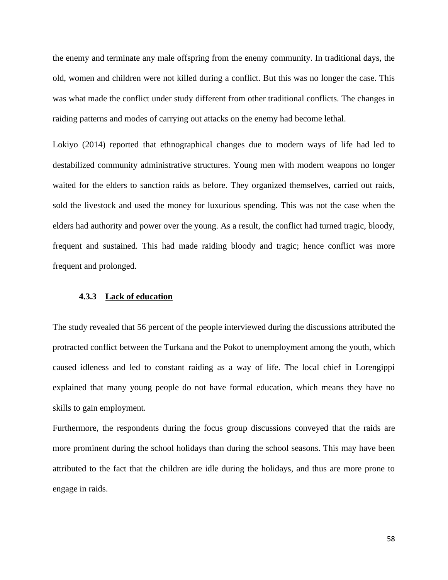the enemy and terminate any male offspring from the enemy community. In traditional days, the old, women and children were not killed during a conflict. But this was no longer the case. This was what made the conflict under study different from other traditional conflicts. The changes in raiding patterns and modes of carrying out attacks on the enemy had become lethal.

Lokiyo (2014) reported that ethnographical changes due to modern ways of life had led to destabilized community administrative structures. Young men with modern weapons no longer waited for the elders to sanction raids as before. They organized themselves, carried out raids, sold the livestock and used the money for luxurious spending. This was not the case when the elders had authority and power over the young. As a result, the conflict had turned tragic, bloody, frequent and sustained. This had made raiding bloody and tragic; hence conflict was more frequent and prolonged.

#### **4.3.3 Lack of education**

The study revealed that 56 percent of the people interviewed during the discussions attributed the protracted conflict between the Turkana and the Pokot to unemployment among the youth, which caused idleness and led to constant raiding as a way of life. The local chief in Lorengippi explained that many young people do not have formal education, which means they have no skills to gain employment.

Furthermore, the respondents during the focus group discussions conveyed that the raids are more prominent during the school holidays than during the school seasons. This may have been attributed to the fact that the children are idle during the holidays, and thus are more prone to engage in raids.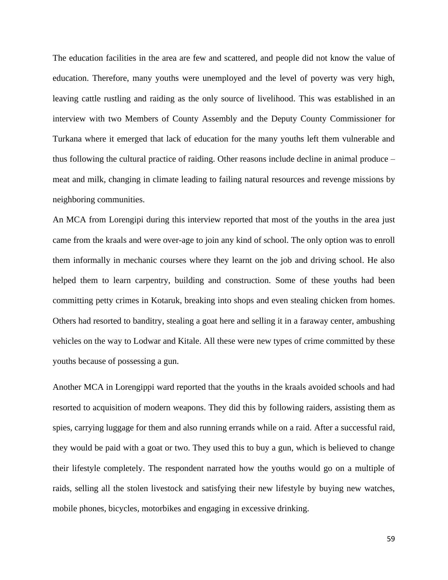The education facilities in the area are few and scattered, and people did not know the value of education. Therefore, many youths were unemployed and the level of poverty was very high, leaving cattle rustling and raiding as the only source of livelihood. This was established in an interview with two Members of County Assembly and the Deputy County Commissioner for Turkana where it emerged that lack of education for the many youths left them vulnerable and thus following the cultural practice of raiding. Other reasons include decline in animal produce – meat and milk, changing in climate leading to failing natural resources and revenge missions by neighboring communities.

An MCA from Lorengipi during this interview reported that most of the youths in the area just came from the kraals and were over-age to join any kind of school. The only option was to enroll them informally in mechanic courses where they learnt on the job and driving school. He also helped them to learn carpentry, building and construction. Some of these youths had been committing petty crimes in Kotaruk, breaking into shops and even stealing chicken from homes. Others had resorted to banditry, stealing a goat here and selling it in a faraway center, ambushing vehicles on the way to Lodwar and Kitale. All these were new types of crime committed by these youths because of possessing a gun.

Another MCA in Lorengippi ward reported that the youths in the kraals avoided schools and had resorted to acquisition of modern weapons. They did this by following raiders, assisting them as spies, carrying luggage for them and also running errands while on a raid. After a successful raid, they would be paid with a goat or two. They used this to buy a gun, which is believed to change their lifestyle completely. The respondent narrated how the youths would go on a multiple of raids, selling all the stolen livestock and satisfying their new lifestyle by buying new watches, mobile phones, bicycles, motorbikes and engaging in excessive drinking.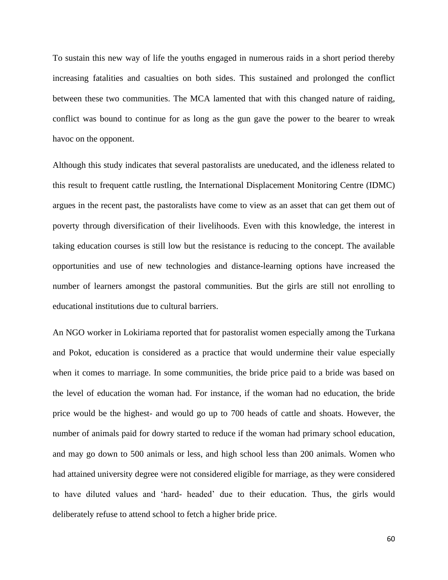To sustain this new way of life the youths engaged in numerous raids in a short period thereby increasing fatalities and casualties on both sides. This sustained and prolonged the conflict between these two communities. The MCA lamented that with this changed nature of raiding, conflict was bound to continue for as long as the gun gave the power to the bearer to wreak havoc on the opponent.

Although this study indicates that several pastoralists are uneducated, and the idleness related to this result to frequent cattle rustling, the International Displacement Monitoring Centre (IDMC) argues in the recent past, the pastoralists have come to view as an asset that can get them out of poverty through diversification of their livelihoods. Even with this knowledge, the interest in taking education courses is still low but the resistance is reducing to the concept. The available opportunities and use of new technologies and distance-learning options have increased the number of learners amongst the pastoral communities. But the girls are still not enrolling to educational institutions due to cultural barriers.

An NGO worker in Lokiriama reported that for pastoralist women especially among the Turkana and Pokot, education is considered as a practice that would undermine their value especially when it comes to marriage. In some communities, the bride price paid to a bride was based on the level of education the woman had. For instance, if the woman had no education, the bride price would be the highest- and would go up to 700 heads of cattle and shoats. However, the number of animals paid for dowry started to reduce if the woman had primary school education, and may go down to 500 animals or less, and high school less than 200 animals. Women who had attained university degree were not considered eligible for marriage, as they were considered to have diluted values and 'hard- headed' due to their education. Thus, the girls would deliberately refuse to attend school to fetch a higher bride price.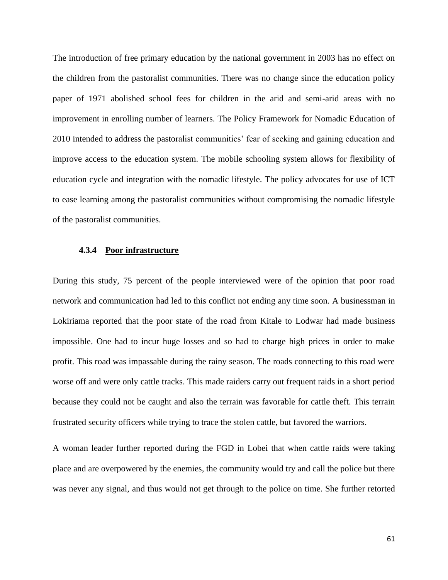The introduction of free primary education by the national government in 2003 has no effect on the children from the pastoralist communities. There was no change since the education policy paper of 1971 abolished school fees for children in the arid and semi-arid areas with no improvement in enrolling number of learners. The Policy Framework for Nomadic Education of 2010 intended to address the pastoralist communities' fear of seeking and gaining education and improve access to the education system. The mobile schooling system allows for flexibility of education cycle and integration with the nomadic lifestyle. The policy advocates for use of ICT to ease learning among the pastoralist communities without compromising the nomadic lifestyle of the pastoralist communities.

#### **4.3.4 Poor infrastructure**

During this study, 75 percent of the people interviewed were of the opinion that poor road network and communication had led to this conflict not ending any time soon. A businessman in Lokiriama reported that the poor state of the road from Kitale to Lodwar had made business impossible. One had to incur huge losses and so had to charge high prices in order to make profit. This road was impassable during the rainy season. The roads connecting to this road were worse off and were only cattle tracks. This made raiders carry out frequent raids in a short period because they could not be caught and also the terrain was favorable for cattle theft. This terrain frustrated security officers while trying to trace the stolen cattle, but favored the warriors.

A woman leader further reported during the FGD in Lobei that when cattle raids were taking place and are overpowered by the enemies, the community would try and call the police but there was never any signal, and thus would not get through to the police on time. She further retorted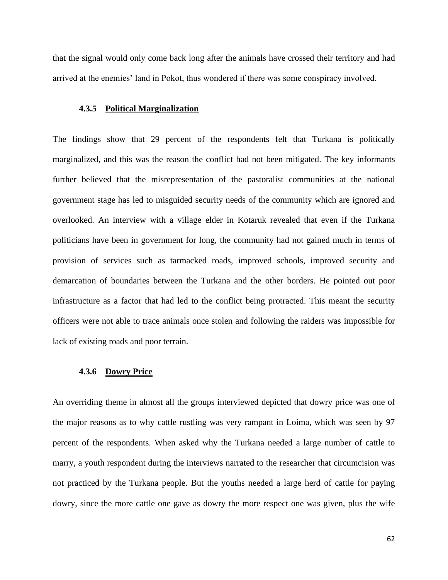that the signal would only come back long after the animals have crossed their territory and had arrived at the enemies' land in Pokot, thus wondered if there was some conspiracy involved.

#### **4.3.5 Political Marginalization**

The findings show that 29 percent of the respondents felt that Turkana is politically marginalized, and this was the reason the conflict had not been mitigated. The key informants further believed that the misrepresentation of the pastoralist communities at the national government stage has led to misguided security needs of the community which are ignored and overlooked. An interview with a village elder in Kotaruk revealed that even if the Turkana politicians have been in government for long, the community had not gained much in terms of provision of services such as tarmacked roads, improved schools, improved security and demarcation of boundaries between the Turkana and the other borders. He pointed out poor infrastructure as a factor that had led to the conflict being protracted. This meant the security officers were not able to trace animals once stolen and following the raiders was impossible for lack of existing roads and poor terrain.

#### **4.3.6 Dowry Price**

An overriding theme in almost all the groups interviewed depicted that dowry price was one of the major reasons as to why cattle rustling was very rampant in Loima, which was seen by 97 percent of the respondents. When asked why the Turkana needed a large number of cattle to marry, a youth respondent during the interviews narrated to the researcher that circumcision was not practiced by the Turkana people. But the youths needed a large herd of cattle for paying dowry, since the more cattle one gave as dowry the more respect one was given, plus the wife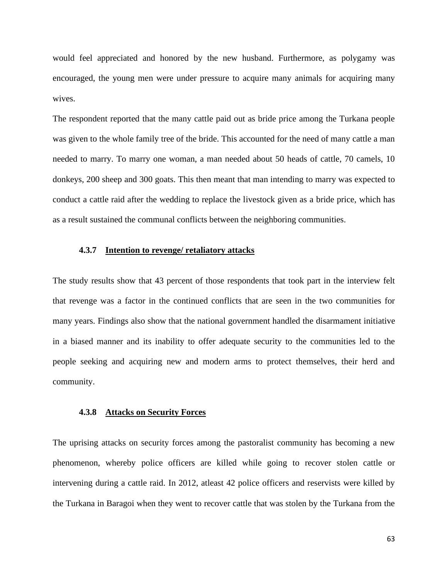would feel appreciated and honored by the new husband. Furthermore, as polygamy was encouraged, the young men were under pressure to acquire many animals for acquiring many wives.

The respondent reported that the many cattle paid out as bride price among the Turkana people was given to the whole family tree of the bride. This accounted for the need of many cattle a man needed to marry. To marry one woman, a man needed about 50 heads of cattle, 70 camels, 10 donkeys, 200 sheep and 300 goats. This then meant that man intending to marry was expected to conduct a cattle raid after the wedding to replace the livestock given as a bride price, which has as a result sustained the communal conflicts between the neighboring communities.

## **4.3.7 Intention to revenge/ retaliatory attacks**

The study results show that 43 percent of those respondents that took part in the interview felt that revenge was a factor in the continued conflicts that are seen in the two communities for many years. Findings also show that the national government handled the disarmament initiative in a biased manner and its inability to offer adequate security to the communities led to the people seeking and acquiring new and modern arms to protect themselves, their herd and community.

#### **4.3.8 Attacks on Security Forces**

The uprising attacks on security forces among the pastoralist community has becoming a new phenomenon, whereby police officers are killed while going to recover stolen cattle or intervening during a cattle raid. In 2012, atleast 42 police officers and reservists were killed by the Turkana in Baragoi when they went to recover cattle that was stolen by the Turkana from the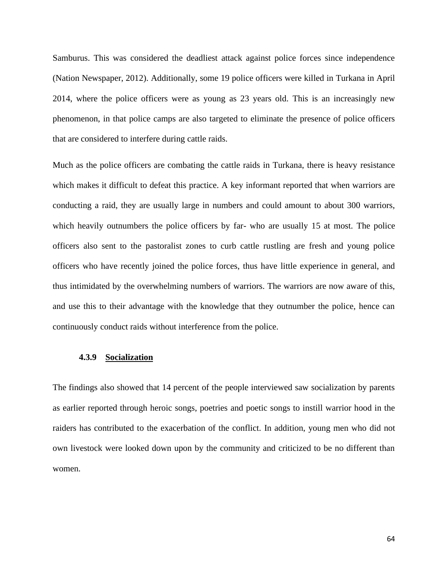Samburus. This was considered the deadliest attack against police forces since independence (Nation Newspaper, 2012). Additionally, some 19 police officers were killed in Turkana in April 2014, where the police officers were as young as 23 years old. This is an increasingly new phenomenon, in that police camps are also targeted to eliminate the presence of police officers that are considered to interfere during cattle raids.

Much as the police officers are combating the cattle raids in Turkana, there is heavy resistance which makes it difficult to defeat this practice. A key informant reported that when warriors are conducting a raid, they are usually large in numbers and could amount to about 300 warriors, which heavily outnumbers the police officers by far- who are usually 15 at most. The police officers also sent to the pastoralist zones to curb cattle rustling are fresh and young police officers who have recently joined the police forces, thus have little experience in general, and thus intimidated by the overwhelming numbers of warriors. The warriors are now aware of this, and use this to their advantage with the knowledge that they outnumber the police, hence can continuously conduct raids without interference from the police.

#### **4.3.9 Socialization**

The findings also showed that 14 percent of the people interviewed saw socialization by parents as earlier reported through heroic songs, poetries and poetic songs to instill warrior hood in the raiders has contributed to the exacerbation of the conflict. In addition, young men who did not own livestock were looked down upon by the community and criticized to be no different than women.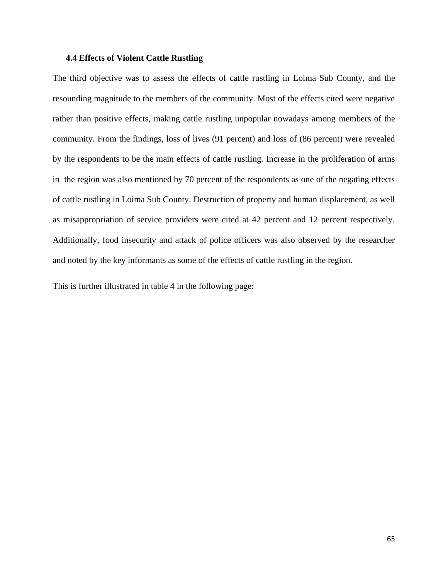#### **4.4 Effects of Violent Cattle Rustling**

The third objective was to assess the effects of cattle rustling in Loima Sub County, and the resounding magnitude to the members of the community. Most of the effects cited were negative rather than positive effects, making cattle rustling unpopular nowadays among members of the community. From the findings, loss of lives (91 percent) and loss of (86 percent) were revealed by the respondents to be the main effects of cattle rustling. Increase in the proliferation of arms in the region was also mentioned by 70 percent of the respondents as one of the negating effects of cattle rustling in Loima Sub County. Destruction of property and human displacement, as well as misappropriation of service providers were cited at 42 percent and 12 percent respectively. Additionally, food insecurity and attack of police officers was also observed by the researcher and noted by the key informants as some of the effects of cattle rustling in the region.

This is further illustrated in table 4 in the following page: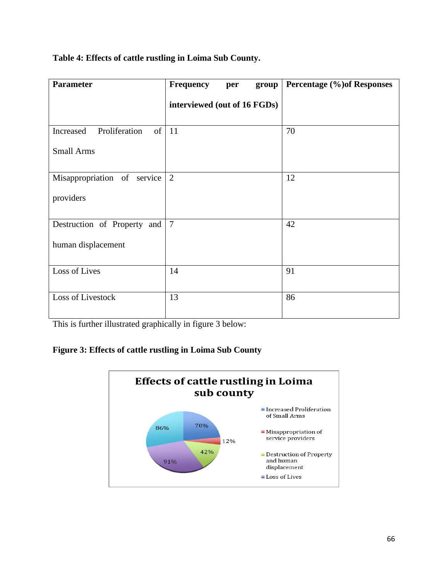| <b>Parameter</b>                       | <b>Frequency</b><br>group<br>per | Percentage (%) of Responses |
|----------------------------------------|----------------------------------|-----------------------------|
|                                        | interviewed (out of 16 FGDs)     |                             |
| of $ 11$<br>Proliferation<br>Increased |                                  | 70                          |
| <b>Small Arms</b>                      |                                  |                             |
| Misappropriation of service            | 2                                | 12                          |
| providers                              |                                  |                             |
| Destruction of Property and            | $\overline{7}$                   | 42                          |
| human displacement                     |                                  |                             |
| Loss of Lives                          | 14                               | 91                          |
| Loss of Livestock                      | 13                               | 86                          |

# **Table 4: Effects of cattle rustling in Loima Sub County.**

This is further illustrated graphically in figure 3 below:

# **Figure 3: Effects of cattle rustling in Loima Sub County**

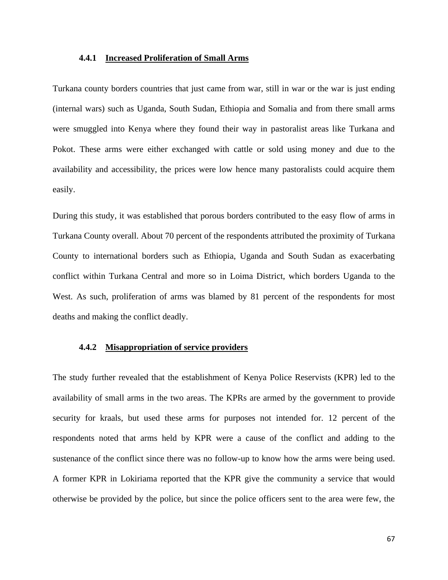#### **4.4.1 Increased Proliferation of Small Arms**

Turkana county borders countries that just came from war, still in war or the war is just ending (internal wars) such as Uganda, South Sudan, Ethiopia and Somalia and from there small arms were smuggled into Kenya where they found their way in pastoralist areas like Turkana and Pokot. These arms were either exchanged with cattle or sold using money and due to the availability and accessibility, the prices were low hence many pastoralists could acquire them easily.

During this study, it was established that porous borders contributed to the easy flow of arms in Turkana County overall. About 70 percent of the respondents attributed the proximity of Turkana County to international borders such as Ethiopia, Uganda and South Sudan as exacerbating conflict within Turkana Central and more so in Loima District, which borders Uganda to the West. As such, proliferation of arms was blamed by 81 percent of the respondents for most deaths and making the conflict deadly.

# **4.4.2 Misappropriation of service providers**

The study further revealed that the establishment of Kenya Police Reservists (KPR) led to the availability of small arms in the two areas. The KPRs are armed by the government to provide security for kraals, but used these arms for purposes not intended for. 12 percent of the respondents noted that arms held by KPR were a cause of the conflict and adding to the sustenance of the conflict since there was no follow-up to know how the arms were being used. A former KPR in Lokiriama reported that the KPR give the community a service that would otherwise be provided by the police, but since the police officers sent to the area were few, the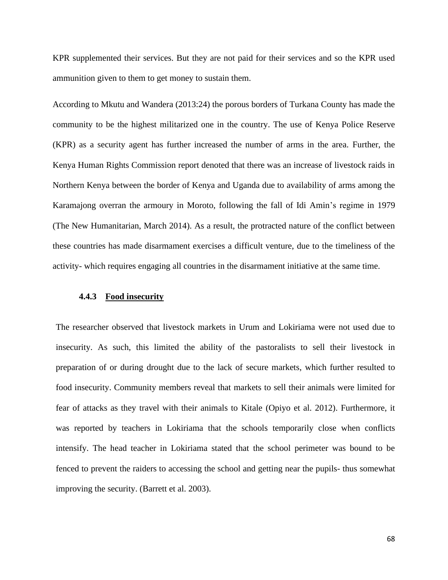KPR supplemented their services. But they are not paid for their services and so the KPR used ammunition given to them to get money to sustain them.

According to Mkutu and Wandera (2013:24) the porous borders of Turkana County has made the community to be the highest militarized one in the country. The use of Kenya Police Reserve (KPR) as a security agent has further increased the number of arms in the area. Further, the Kenya Human Rights Commission report denoted that there was an increase of livestock raids in Northern Kenya between the border of Kenya and Uganda due to availability of arms among the Karamajong overran the armoury in Moroto, following the fall of Idi Amin's regime in 1979 (The New Humanitarian, March 2014). As a result, the protracted nature of the conflict between these countries has made disarmament exercises a difficult venture, due to the timeliness of the activity- which requires engaging all countries in the disarmament initiative at the same time.

#### **4.4.3 Food insecurity**

The researcher observed that livestock markets in Urum and Lokiriama were not used due to insecurity. As such, this limited the ability of the pastoralists to sell their livestock in preparation of or during drought due to the lack of secure markets, which further resulted to food insecurity. Community members reveal that markets to sell their animals were limited for fear of attacks as they travel with their animals to Kitale (Opiyo et al. 2012). Furthermore, it was reported by teachers in Lokiriama that the schools temporarily close when conflicts intensify. The head teacher in Lokiriama stated that the school perimeter was bound to be fenced to prevent the raiders to accessing the school and getting near the pupils- thus somewhat improving the security. (Barrett et al. [2003\)](https://pastoralismjournal.springeropen.com/articles/10.1186/2041-7136-2-25#CR3).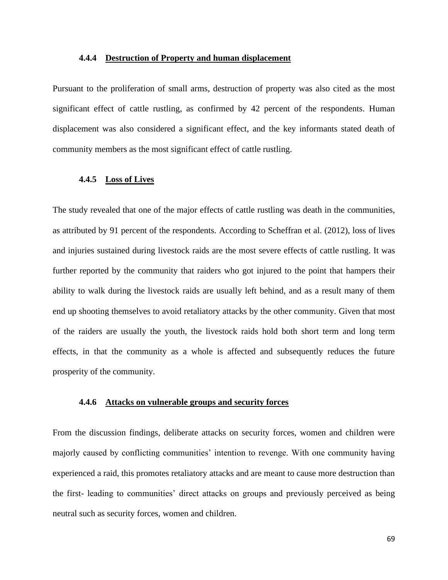#### **4.4.4 Destruction of Property and human displacement**

Pursuant to the proliferation of small arms, destruction of property was also cited as the most significant effect of cattle rustling, as confirmed by 42 percent of the respondents. Human displacement was also considered a significant effect, and the key informants stated death of community members as the most significant effect of cattle rustling.

#### **4.4.5 Loss of Lives**

The study revealed that one of the major effects of cattle rustling was death in the communities, as attributed by 91 percent of the respondents. According to Scheffran et al. (2012), loss of lives and injuries sustained during livestock raids are the most severe effects of cattle rustling. It was further reported by the community that raiders who got injured to the point that hampers their ability to walk during the livestock raids are usually left behind, and as a result many of them end up shooting themselves to avoid retaliatory attacks by the other community. Given that most of the raiders are usually the youth, the livestock raids hold both short term and long term effects, in that the community as a whole is affected and subsequently reduces the future prosperity of the community.

#### **4.4.6 Attacks on vulnerable groups and security forces**

From the discussion findings, deliberate attacks on security forces, women and children were majorly caused by conflicting communities' intention to revenge. With one community having experienced a raid, this promotes retaliatory attacks and are meant to cause more destruction than the first- leading to communities' direct attacks on groups and previously perceived as being neutral such as security forces, women and children.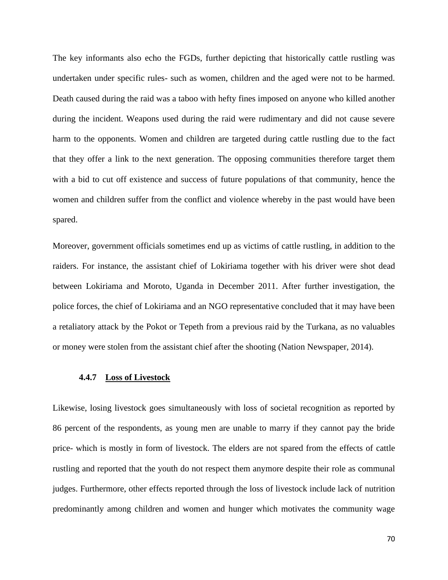The key informants also echo the FGDs, further depicting that historically cattle rustling was undertaken under specific rules- such as women, children and the aged were not to be harmed. Death caused during the raid was a taboo with hefty fines imposed on anyone who killed another during the incident. Weapons used during the raid were rudimentary and did not cause severe harm to the opponents. Women and children are targeted during cattle rustling due to the fact that they offer a link to the next generation. The opposing communities therefore target them with a bid to cut off existence and success of future populations of that community, hence the women and children suffer from the conflict and violence whereby in the past would have been spared.

Moreover, government officials sometimes end up as victims of cattle rustling, in addition to the raiders. For instance, the assistant chief of Lokiriama together with his driver were shot dead between Lokiriama and Moroto, Uganda in December 2011. After further investigation, the police forces, the chief of Lokiriama and an NGO representative concluded that it may have been a retaliatory attack by the Pokot or Tepeth from a previous raid by the Turkana, as no valuables or money were stolen from the assistant chief after the shooting (Nation Newspaper, 2014).

#### **4.4.7 Loss of Livestock**

Likewise, losing livestock goes simultaneously with loss of societal recognition as reported by 86 percent of the respondents, as young men are unable to marry if they cannot pay the bride price- which is mostly in form of livestock. The elders are not spared from the effects of cattle rustling and reported that the youth do not respect them anymore despite their role as communal judges. Furthermore, other effects reported through the loss of livestock include lack of nutrition predominantly among children and women and hunger which motivates the community wage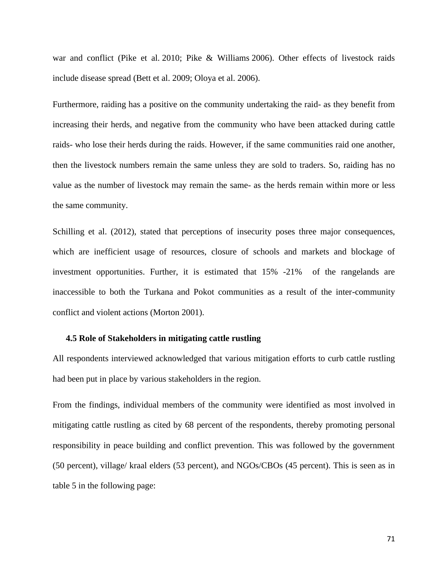war and conflict (Pike et al. [2010;](https://pastoralismjournal.springeropen.com/articles/10.1186/2041-7136-2-25#CR49) Pike & Williams [2006\)](https://pastoralismjournal.springeropen.com/articles/10.1186/2041-7136-2-25#CR48). Other effects of livestock raids include disease spread (Bett et al. [2009;](https://pastoralismjournal.springeropen.com/articles/10.1186/2041-7136-2-25#CR5) Oloya et al. [2006\)](https://pastoralismjournal.springeropen.com/articles/10.1186/2041-7136-2-25#CR45).

Furthermore, raiding has a positive on the community undertaking the raid- as they benefit from increasing their herds, and negative from the community who have been attacked during cattle raids- who lose their herds during the raids. However, if the same communities raid one another, then the livestock numbers remain the same unless they are sold to traders. So, raiding has no value as the number of livestock may remain the same- as the herds remain within more or less the same community.

Schilling et al. (2012), stated that perceptions of insecurity poses three major consequences, which are inefficient usage of resources, closure of schools and markets and blockage of investment opportunities. Further, it is estimated that 15% -21% of the rangelands are inaccessible to both the Turkana and Pokot communities as a result of the inter-community conflict and violent actions (Morton [2001\)](https://pastoralismjournal.springeropen.com/articles/10.1186/2041-7136-2-25#CR40).

#### **4.5 Role of Stakeholders in mitigating cattle rustling**

All respondents interviewed acknowledged that various mitigation efforts to curb cattle rustling had been put in place by various stakeholders in the region.

From the findings, individual members of the community were identified as most involved in mitigating cattle rustling as cited by 68 percent of the respondents, thereby promoting personal responsibility in peace building and conflict prevention. This was followed by the government (50 percent), village/ kraal elders (53 percent), and NGOs/CBOs (45 percent). This is seen as in table 5 in the following page: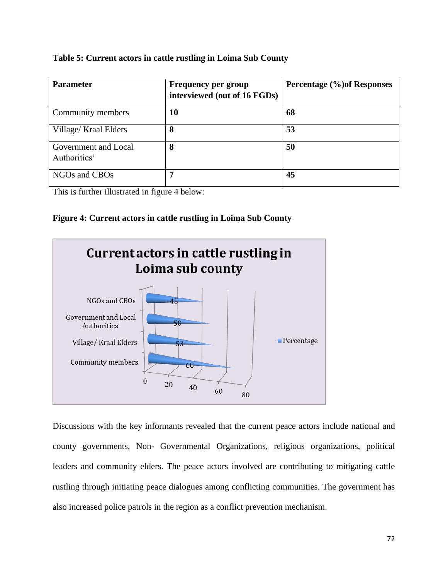## **Table 5: Current actors in cattle rustling in Loima Sub County**

| <b>Parameter</b>                     | <b>Frequency per group</b><br>interviewed (out of 16 FGDs) | Percentage (%) of Responses |
|--------------------------------------|------------------------------------------------------------|-----------------------------|
| Community members                    | 10                                                         | 68                          |
| Village/ Kraal Elders                | 8                                                          | 53                          |
| Government and Local<br>Authorities' | 8                                                          | 50                          |
| NGOs and CBOs                        | 7                                                          | 45                          |

This is further illustrated in figure 4 below:

# **Figure 4: Current actors in cattle rustling in Loima Sub County**



Discussions with the key informants revealed that the current peace actors include national and county governments, Non- Governmental Organizations, religious organizations, political leaders and community elders. The peace actors involved are contributing to mitigating cattle rustling through initiating peace dialogues among conflicting communities. The government has also increased police patrols in the region as a conflict prevention mechanism.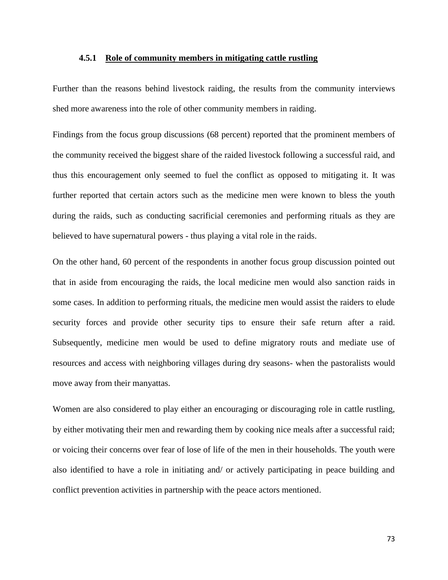#### **4.5.1 Role of community members in mitigating cattle rustling**

Further than the reasons behind livestock raiding, the results from the community interviews shed more awareness into the role of other community members in raiding.

Findings from the focus group discussions (68 percent) reported that the prominent members of the community received the biggest share of the raided livestock following a successful raid, and thus this encouragement only seemed to fuel the conflict as opposed to mitigating it. It was further reported that certain actors such as the medicine men were known to bless the youth during the raids, such as conducting sacrificial ceremonies and performing rituals as they are believed to have supernatural powers - thus playing a vital role in the raids.

On the other hand, 60 percent of the respondents in another focus group discussion pointed out that in aside from encouraging the raids, the local medicine men would also sanction raids in some cases. In addition to performing rituals, the medicine men would assist the raiders to elude security forces and provide other security tips to ensure their safe return after a raid. Subsequently, medicine men would be used to define migratory routs and mediate use of resources and access with neighboring villages during dry seasons- when the pastoralists would move away from their manyattas.

Women are also considered to play either an encouraging or discouraging role in cattle rustling, by either motivating their men and rewarding them by cooking nice meals after a successful raid; or voicing their concerns over fear of lose of life of the men in their households. The youth were also identified to have a role in initiating and/ or actively participating in peace building and conflict prevention activities in partnership with the peace actors mentioned.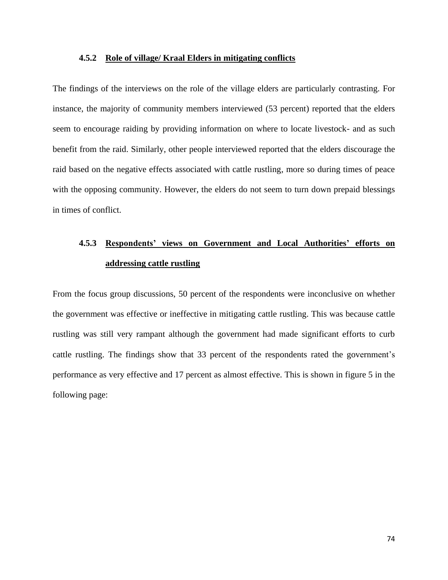#### **4.5.2 Role of village/ Kraal Elders in mitigating conflicts**

The findings of the interviews on the role of the village elders are particularly contrasting. For instance, the majority of community members interviewed (53 percent) reported that the elders seem to encourage raiding by providing information on where to locate livestock- and as such benefit from the raid. Similarly, other people interviewed reported that the elders discourage the raid based on the negative effects associated with cattle rustling, more so during times of peace with the opposing community. However, the elders do not seem to turn down prepaid blessings in times of conflict.

# **4.5.3 Respondents' views on Government and Local Authorities' efforts on addressing cattle rustling**

From the focus group discussions, 50 percent of the respondents were inconclusive on whether the government was effective or ineffective in mitigating cattle rustling. This was because cattle rustling was still very rampant although the government had made significant efforts to curb cattle rustling. The findings show that 33 percent of the respondents rated the government's performance as very effective and 17 percent as almost effective. This is shown in figure 5 in the following page: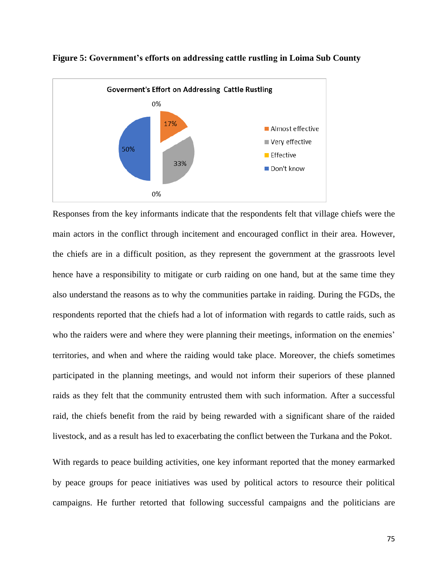

**Figure 5: Government's efforts on addressing cattle rustling in Loima Sub County**

Responses from the key informants indicate that the respondents felt that village chiefs were the main actors in the conflict through incitement and encouraged conflict in their area. However, the chiefs are in a difficult position, as they represent the government at the grassroots level hence have a responsibility to mitigate or curb raiding on one hand, but at the same time they also understand the reasons as to why the communities partake in raiding. During the FGDs, the respondents reported that the chiefs had a lot of information with regards to cattle raids, such as who the raiders were and where they were planning their meetings, information on the enemies' territories, and when and where the raiding would take place. Moreover, the chiefs sometimes participated in the planning meetings, and would not inform their superiors of these planned raids as they felt that the community entrusted them with such information. After a successful raid, the chiefs benefit from the raid by being rewarded with a significant share of the raided livestock, and as a result has led to exacerbating the conflict between the Turkana and the Pokot.

With regards to peace building activities, one key informant reported that the money earmarked by peace groups for peace initiatives was used by political actors to resource their political campaigns. He further retorted that following successful campaigns and the politicians are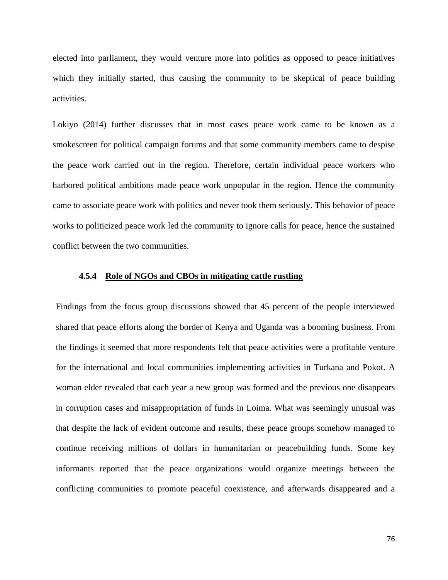elected into parliament, they would venture more into politics as opposed to peace initiatives which they initially started, thus causing the community to be skeptical of peace building activities.

Lokiyo (2014) further discusses that in most cases peace work came to be known as a smokescreen for political campaign forums and that some community members came to despise the peace work carried out in the region. Therefore, certain individual peace workers who harbored political ambitions made peace work unpopular in the region. Hence the community came to associate peace work with politics and never took them seriously. This behavior of peace works to politicized peace work led the community to ignore calls for peace, hence the sustained conflict between the two communities.

## **4.5.4 Role of NGOs and CBOs in mitigating cattle rustling**

Findings from the focus group discussions showed that 45 percent of the people interviewed shared that peace efforts along the border of Kenya and Uganda was a booming business. From the findings it seemed that more respondents felt that peace activities were a profitable venture for the international and local communities implementing activities in Turkana and Pokot. A woman elder revealed that each year a new group was formed and the previous one disappears in corruption cases and misappropriation of funds in Loima. What was seemingly unusual was that despite the lack of evident outcome and results, these peace groups somehow managed to continue receiving millions of dollars in humanitarian or peacebuilding funds. Some key informants reported that the peace organizations would organize meetings between the conflicting communities to promote peaceful coexistence, and afterwards disappeared and a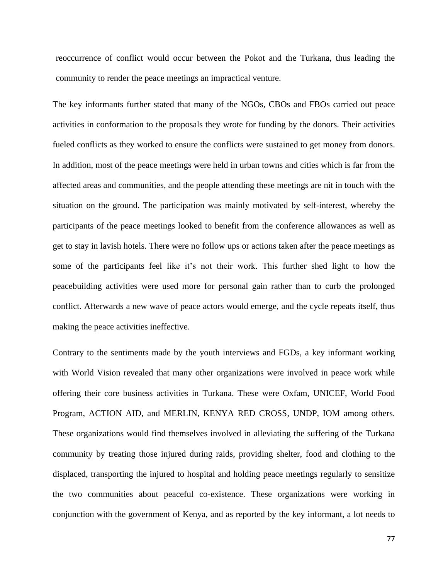reoccurrence of conflict would occur between the Pokot and the Turkana, thus leading the community to render the peace meetings an impractical venture.

The key informants further stated that many of the NGOs, CBOs and FBOs carried out peace activities in conformation to the proposals they wrote for funding by the donors. Their activities fueled conflicts as they worked to ensure the conflicts were sustained to get money from donors. In addition, most of the peace meetings were held in urban towns and cities which is far from the affected areas and communities, and the people attending these meetings are nit in touch with the situation on the ground. The participation was mainly motivated by self-interest, whereby the participants of the peace meetings looked to benefit from the conference allowances as well as get to stay in lavish hotels. There were no follow ups or actions taken after the peace meetings as some of the participants feel like it's not their work. This further shed light to how the peacebuilding activities were used more for personal gain rather than to curb the prolonged conflict. Afterwards a new wave of peace actors would emerge, and the cycle repeats itself, thus making the peace activities ineffective.

Contrary to the sentiments made by the youth interviews and FGDs, a key informant working with World Vision revealed that many other organizations were involved in peace work while offering their core business activities in Turkana. These were Oxfam, UNICEF, World Food Program, ACTION AID, and MERLIN, KENYA RED CROSS, UNDP, IOM among others. These organizations would find themselves involved in alleviating the suffering of the Turkana community by treating those injured during raids, providing shelter, food and clothing to the displaced, transporting the injured to hospital and holding peace meetings regularly to sensitize the two communities about peaceful co-existence. These organizations were working in conjunction with the government of Kenya, and as reported by the key informant, a lot needs to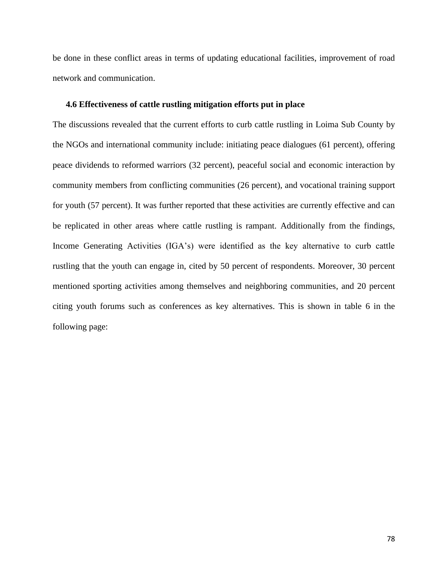be done in these conflict areas in terms of updating educational facilities, improvement of road network and communication.

## **4.6 Effectiveness of cattle rustling mitigation efforts put in place**

The discussions revealed that the current efforts to curb cattle rustling in Loima Sub County by the NGOs and international community include: initiating peace dialogues (61 percent), offering peace dividends to reformed warriors (32 percent), peaceful social and economic interaction by community members from conflicting communities (26 percent), and vocational training support for youth (57 percent). It was further reported that these activities are currently effective and can be replicated in other areas where cattle rustling is rampant. Additionally from the findings, Income Generating Activities (IGA's) were identified as the key alternative to curb cattle rustling that the youth can engage in, cited by 50 percent of respondents. Moreover, 30 percent mentioned sporting activities among themselves and neighboring communities, and 20 percent citing youth forums such as conferences as key alternatives. This is shown in table 6 in the following page: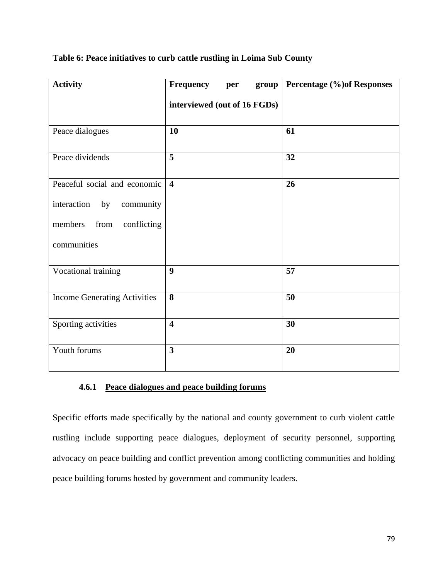| <b>Activity</b>                     | <b>Frequency</b><br>group<br>per | Percentage (%) of Responses |
|-------------------------------------|----------------------------------|-----------------------------|
|                                     | interviewed (out of 16 FGDs)     |                             |
| Peace dialogues                     | 10                               | 61                          |
| Peace dividends                     | 5                                | 32                          |
| Peaceful social and economic        | $\overline{\mathbf{4}}$          | 26                          |
| interaction<br>by<br>community      |                                  |                             |
| members<br>conflicting<br>from      |                                  |                             |
| communities                         |                                  |                             |
| Vocational training                 | $\boldsymbol{9}$                 | 57                          |
| <b>Income Generating Activities</b> | 8                                | 50                          |
| Sporting activities                 | $\overline{\mathbf{4}}$          | 30                          |
| Youth forums                        | $\overline{\mathbf{3}}$          | 20                          |

# **Table 6: Peace initiatives to curb cattle rustling in Loima Sub County**

# **4.6.1 Peace dialogues and peace building forums**

Specific efforts made specifically by the national and county government to curb violent cattle rustling include supporting peace dialogues, deployment of security personnel, supporting advocacy on peace building and conflict prevention among conflicting communities and holding peace building forums hosted by government and community leaders.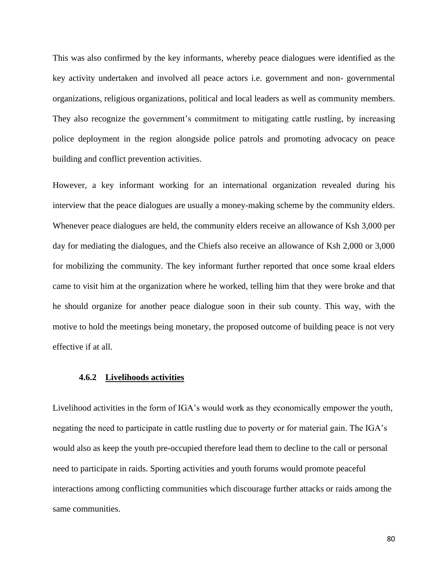This was also confirmed by the key informants, whereby peace dialogues were identified as the key activity undertaken and involved all peace actors i.e. government and non- governmental organizations, religious organizations, political and local leaders as well as community members. They also recognize the government's commitment to mitigating cattle rustling, by increasing police deployment in the region alongside police patrols and promoting advocacy on peace building and conflict prevention activities.

However, a key informant working for an international organization revealed during his interview that the peace dialogues are usually a money-making scheme by the community elders. Whenever peace dialogues are held, the community elders receive an allowance of Ksh 3,000 per day for mediating the dialogues, and the Chiefs also receive an allowance of Ksh 2,000 or 3,000 for mobilizing the community. The key informant further reported that once some kraal elders came to visit him at the organization where he worked, telling him that they were broke and that he should organize for another peace dialogue soon in their sub county. This way, with the motive to hold the meetings being monetary, the proposed outcome of building peace is not very effective if at all.

# **4.6.2 Livelihoods activities**

Livelihood activities in the form of IGA's would work as they economically empower the youth, negating the need to participate in cattle rustling due to poverty or for material gain. The IGA's would also as keep the youth pre-occupied therefore lead them to decline to the call or personal need to participate in raids. Sporting activities and youth forums would promote peaceful interactions among conflicting communities which discourage further attacks or raids among the same communities.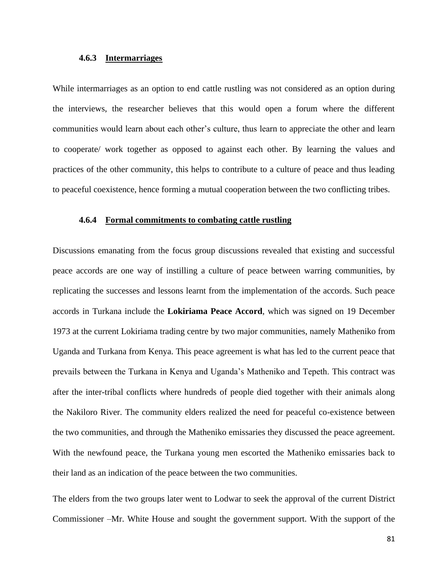## **4.6.3 Intermarriages**

While intermarriages as an option to end cattle rustling was not considered as an option during the interviews, the researcher believes that this would open a forum where the different communities would learn about each other's culture, thus learn to appreciate the other and learn to cooperate/ work together as opposed to against each other. By learning the values and practices of the other community, this helps to contribute to a culture of peace and thus leading to peaceful coexistence, hence forming a mutual cooperation between the two conflicting tribes.

#### **4.6.4 Formal commitments to combating cattle rustling**

Discussions emanating from the focus group discussions revealed that existing and successful peace accords are one way of instilling a culture of peace between warring communities, by replicating the successes and lessons learnt from the implementation of the accords. Such peace accords in Turkana include the **Lokiriama Peace Accord**, which was signed on 19 December 1973 at the current Lokiriama trading centre by two major communities, namely Matheniko from Uganda and Turkana from Kenya. This peace agreement is what has led to the current peace that prevails between the Turkana in Kenya and Uganda's Matheniko and Tepeth. This contract was after the inter-tribal conflicts where hundreds of people died together with their animals along the Nakiloro River. The community elders realized the need for peaceful co-existence between the two communities, and through the Matheniko emissaries they discussed the peace agreement. With the newfound peace, the Turkana young men escorted the Matheniko emissaries back to their land as an indication of the peace between the two communities.

The elders from the two groups later went to Lodwar to seek the approval of the current District Commissioner –Mr. White House and sought the government support. With the support of the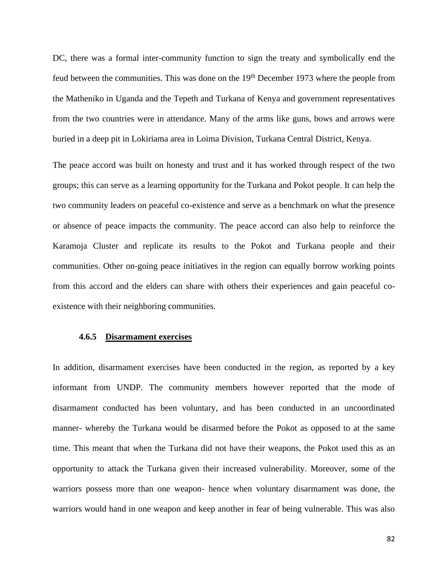DC, there was a formal inter-community function to sign the treaty and symbolically end the feud between the communities. This was done on the  $19<sup>th</sup>$  December 1973 where the people from the Matheniko in Uganda and the Tepeth and Turkana of Kenya and government representatives from the two countries were in attendance. Many of the arms like guns, bows and arrows were buried in a deep pit in Lokiriama area in Loima Division, Turkana Central District, Kenya.

The peace accord was built on honesty and trust and it has worked through respect of the two groups; this can serve as a learning opportunity for the Turkana and Pokot people. It can help the two community leaders on peaceful co-existence and serve as a benchmark on what the presence or absence of peace impacts the community. The peace accord can also help to reinforce the Karamoja Cluster and replicate its results to the Pokot and Turkana people and their communities. Other on-going peace initiatives in the region can equally borrow working points from this accord and the elders can share with others their experiences and gain peaceful coexistence with their neighboring communities.

#### **4.6.5 Disarmament exercises**

In addition, disarmament exercises have been conducted in the region, as reported by a key informant from UNDP. The community members however reported that the mode of disarmament conducted has been voluntary, and has been conducted in an uncoordinated manner- whereby the Turkana would be disarmed before the Pokot as opposed to at the same time. This meant that when the Turkana did not have their weapons, the Pokot used this as an opportunity to attack the Turkana given their increased vulnerability. Moreover, some of the warriors possess more than one weapon- hence when voluntary disarmament was done, the warriors would hand in one weapon and keep another in fear of being vulnerable. This was also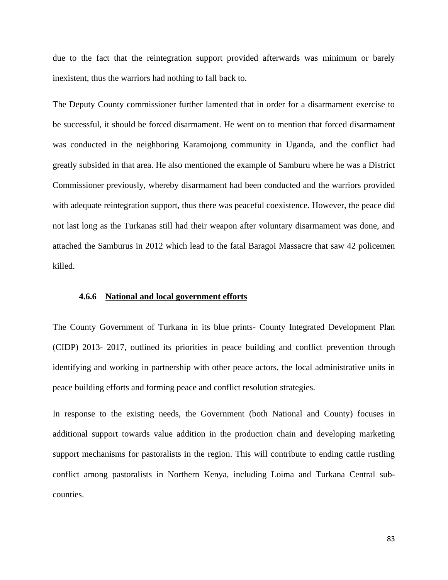due to the fact that the reintegration support provided afterwards was minimum or barely inexistent, thus the warriors had nothing to fall back to.

The Deputy County commissioner further lamented that in order for a disarmament exercise to be successful, it should be forced disarmament. He went on to mention that forced disarmament was conducted in the neighboring Karamojong community in Uganda, and the conflict had greatly subsided in that area. He also mentioned the example of Samburu where he was a District Commissioner previously, whereby disarmament had been conducted and the warriors provided with adequate reintegration support, thus there was peaceful coexistence. However, the peace did not last long as the Turkanas still had their weapon after voluntary disarmament was done, and attached the Samburus in 2012 which lead to the fatal Baragoi Massacre that saw 42 policemen killed.

# **4.6.6 National and local government efforts**

The County Government of Turkana in its blue prints- County Integrated Development Plan (CIDP) 2013- 2017, outlined its priorities in peace building and conflict prevention through identifying and working in partnership with other peace actors, the local administrative units in peace building efforts and forming peace and conflict resolution strategies.

In response to the existing needs, the Government (both National and County) focuses in additional support towards value addition in the production chain and developing marketing support mechanisms for pastoralists in the region. This will contribute to ending cattle rustling conflict among pastoralists in Northern Kenya, including Loima and Turkana Central subcounties.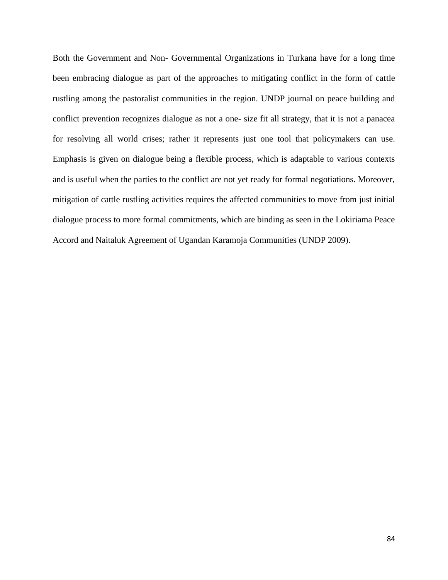Both the Government and Non- Governmental Organizations in Turkana have for a long time been embracing dialogue as part of the approaches to mitigating conflict in the form of cattle rustling among the pastoralist communities in the region. UNDP journal on peace building and conflict prevention recognizes dialogue as not a one- size fit all strategy, that it is not a panacea for resolving all world crises; rather it represents just one tool that policymakers can use. Emphasis is given on dialogue being a flexible process, which is adaptable to various contexts and is useful when the parties to the conflict are not yet ready for formal negotiations. Moreover, mitigation of cattle rustling activities requires the affected communities to move from just initial dialogue process to more formal commitments, which are binding as seen in the Lokiriama Peace Accord and Naitaluk Agreement of Ugandan Karamoja Communities (UNDP 2009).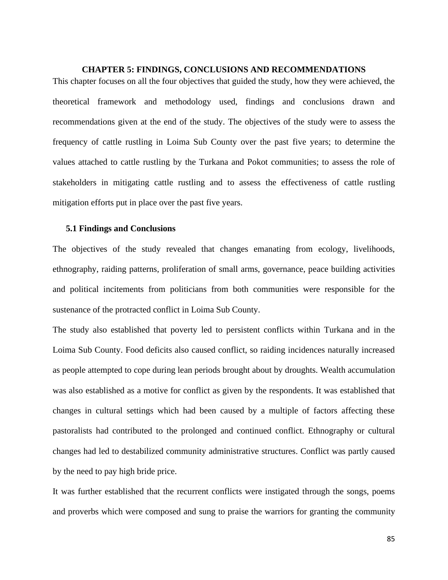## **CHAPTER 5: FINDINGS, CONCLUSIONS AND RECOMMENDATIONS**

This chapter focuses on all the four objectives that guided the study, how they were achieved, the theoretical framework and methodology used, findings and conclusions drawn and recommendations given at the end of the study. The objectives of the study were to assess the frequency of cattle rustling in Loima Sub County over the past five years; to determine the values attached to cattle rustling by the Turkana and Pokot communities; to assess the role of stakeholders in mitigating cattle rustling and to assess the effectiveness of cattle rustling mitigation efforts put in place over the past five years.

#### **5.1 Findings and Conclusions**

The objectives of the study revealed that changes emanating from ecology, livelihoods, ethnography, raiding patterns, proliferation of small arms, governance, peace building activities and political incitements from politicians from both communities were responsible for the sustenance of the protracted conflict in Loima Sub County.

The study also established that poverty led to persistent conflicts within Turkana and in the Loima Sub County. Food deficits also caused conflict, so raiding incidences naturally increased as people attempted to cope during lean periods brought about by droughts. Wealth accumulation was also established as a motive for conflict as given by the respondents. It was established that changes in cultural settings which had been caused by a multiple of factors affecting these pastoralists had contributed to the prolonged and continued conflict. Ethnography or cultural changes had led to destabilized community administrative structures. Conflict was partly caused by the need to pay high bride price.

It was further established that the recurrent conflicts were instigated through the songs, poems and proverbs which were composed and sung to praise the warriors for granting the community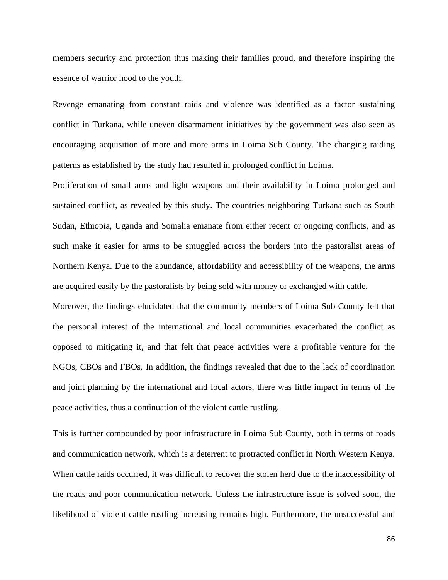members security and protection thus making their families proud, and therefore inspiring the essence of warrior hood to the youth.

Revenge emanating from constant raids and violence was identified as a factor sustaining conflict in Turkana, while uneven disarmament initiatives by the government was also seen as encouraging acquisition of more and more arms in Loima Sub County. The changing raiding patterns as established by the study had resulted in prolonged conflict in Loima.

Proliferation of small arms and light weapons and their availability in Loima prolonged and sustained conflict, as revealed by this study. The countries neighboring Turkana such as South Sudan, Ethiopia, Uganda and Somalia emanate from either recent or ongoing conflicts, and as such make it easier for arms to be smuggled across the borders into the pastoralist areas of Northern Kenya. Due to the abundance, affordability and accessibility of the weapons, the arms are acquired easily by the pastoralists by being sold with money or exchanged with cattle.

Moreover, the findings elucidated that the community members of Loima Sub County felt that the personal interest of the international and local communities exacerbated the conflict as opposed to mitigating it, and that felt that peace activities were a profitable venture for the NGOs, CBOs and FBOs. In addition, the findings revealed that due to the lack of coordination and joint planning by the international and local actors, there was little impact in terms of the peace activities, thus a continuation of the violent cattle rustling.

This is further compounded by poor infrastructure in Loima Sub County, both in terms of roads and communication network, which is a deterrent to protracted conflict in North Western Kenya. When cattle raids occurred, it was difficult to recover the stolen herd due to the inaccessibility of the roads and poor communication network. Unless the infrastructure issue is solved soon, the likelihood of violent cattle rustling increasing remains high. Furthermore, the unsuccessful and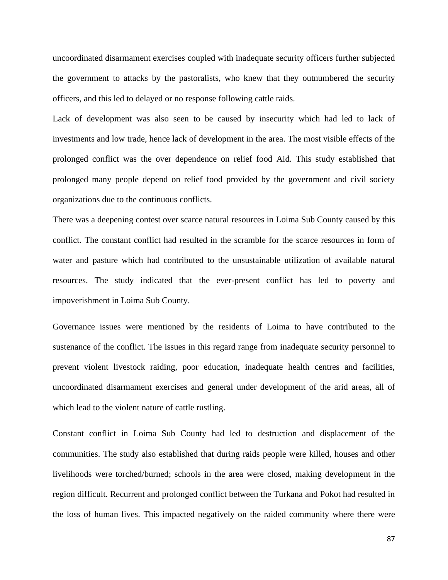uncoordinated disarmament exercises coupled with inadequate security officers further subjected the government to attacks by the pastoralists, who knew that they outnumbered the security officers, and this led to delayed or no response following cattle raids.

Lack of development was also seen to be caused by insecurity which had led to lack of investments and low trade, hence lack of development in the area. The most visible effects of the prolonged conflict was the over dependence on relief food Aid. This study established that prolonged many people depend on relief food provided by the government and civil society organizations due to the continuous conflicts.

There was a deepening contest over scarce natural resources in Loima Sub County caused by this conflict. The constant conflict had resulted in the scramble for the scarce resources in form of water and pasture which had contributed to the unsustainable utilization of available natural resources. The study indicated that the ever-present conflict has led to poverty and impoverishment in Loima Sub County.

Governance issues were mentioned by the residents of Loima to have contributed to the sustenance of the conflict. The issues in this regard range from inadequate security personnel to prevent violent livestock raiding, poor education, inadequate health centres and facilities, uncoordinated disarmament exercises and general under development of the arid areas, all of which lead to the violent nature of cattle rustling.

Constant conflict in Loima Sub County had led to destruction and displacement of the communities. The study also established that during raids people were killed, houses and other livelihoods were torched/burned; schools in the area were closed, making development in the region difficult. Recurrent and prolonged conflict between the Turkana and Pokot had resulted in the loss of human lives. This impacted negatively on the raided community where there were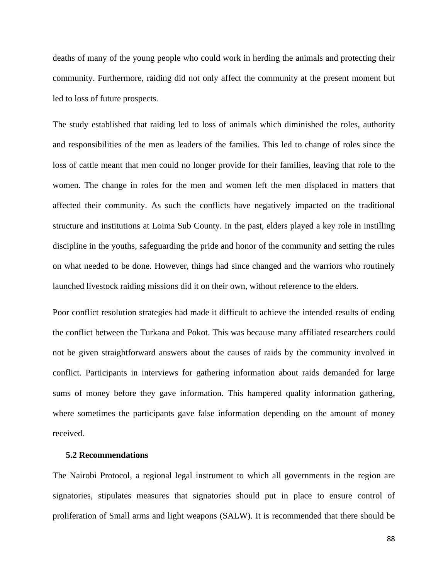deaths of many of the young people who could work in herding the animals and protecting their community. Furthermore, raiding did not only affect the community at the present moment but led to loss of future prospects.

The study established that raiding led to loss of animals which diminished the roles, authority and responsibilities of the men as leaders of the families. This led to change of roles since the loss of cattle meant that men could no longer provide for their families, leaving that role to the women. The change in roles for the men and women left the men displaced in matters that affected their community. As such the conflicts have negatively impacted on the traditional structure and institutions at Loima Sub County. In the past, elders played a key role in instilling discipline in the youths, safeguarding the pride and honor of the community and setting the rules on what needed to be done. However, things had since changed and the warriors who routinely launched livestock raiding missions did it on their own, without reference to the elders.

Poor conflict resolution strategies had made it difficult to achieve the intended results of ending the conflict between the Turkana and Pokot. This was because many affiliated researchers could not be given straightforward answers about the causes of raids by the community involved in conflict. Participants in interviews for gathering information about raids demanded for large sums of money before they gave information. This hampered quality information gathering, where sometimes the participants gave false information depending on the amount of money received.

# **5.2 Recommendations**

The Nairobi Protocol, a regional legal instrument to which all governments in the region are signatories, stipulates measures that signatories should put in place to ensure control of proliferation of Small arms and light weapons (SALW). It is recommended that there should be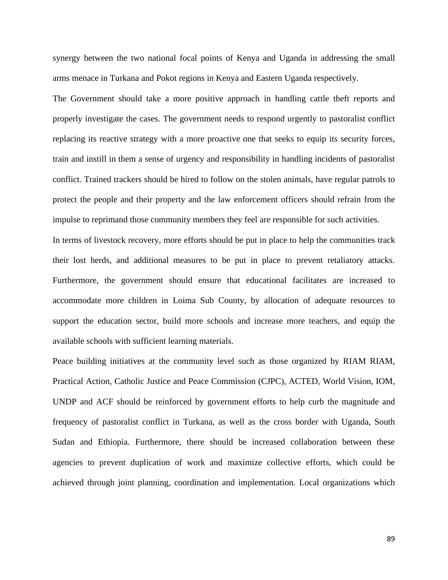synergy between the two national focal points of Kenya and Uganda in addressing the small arms menace in Turkana and Pokot regions in Kenya and Eastern Uganda respectively.

The Government should take a more positive approach in handling cattle theft reports and properly investigate the cases. The government needs to respond urgently to pastoralist conflict replacing its reactive strategy with a more proactive one that seeks to equip its security forces, train and instill in them a sense of urgency and responsibility in handling incidents of pastoralist conflict. Trained trackers should be hired to follow on the stolen animals, have regular patrols to protect the people and their property and the law enforcement officers should refrain from the impulse to reprimand those community members they feel are responsible for such activities.

In terms of livestock recovery, more efforts should be put in place to help the communities track their lost herds, and additional measures to be put in place to prevent retaliatory attacks. Furthermore, the government should ensure that educational facilitates are increased to accommodate more children in Loima Sub County, by allocation of adequate resources to support the education sector, build more schools and increase more teachers, and equip the available schools with sufficient learning materials.

Peace building initiatives at the community level such as those organized by RIAM RIAM, Practical Action, Catholic Justice and Peace Commission (CJPC), ACTED, World Vision, IOM, UNDP and ACF should be reinforced by government efforts to help curb the magnitude and frequency of pastoralist conflict in Turkana, as well as the cross border with Uganda, South Sudan and Ethiopia. Furthermore, there should be increased collaboration between these agencies to prevent duplication of work and maximize collective efforts, which could be achieved through joint planning, coordination and implementation. Local organizations which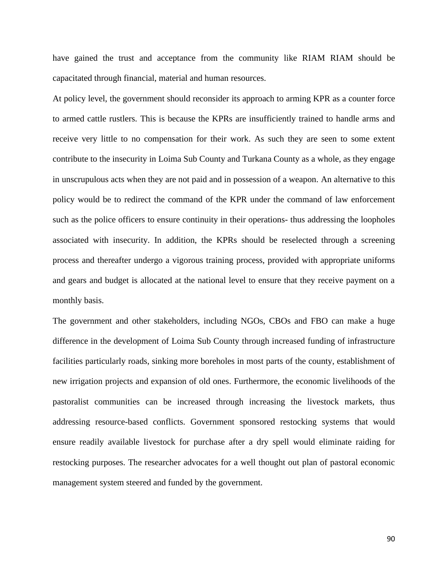have gained the trust and acceptance from the community like RIAM RIAM should be capacitated through financial, material and human resources.

At policy level, the government should reconsider its approach to arming KPR as a counter force to armed cattle rustlers. This is because the KPRs are insufficiently trained to handle arms and receive very little to no compensation for their work. As such they are seen to some extent contribute to the insecurity in Loima Sub County and Turkana County as a whole, as they engage in unscrupulous acts when they are not paid and in possession of a weapon. An alternative to this policy would be to redirect the command of the KPR under the command of law enforcement such as the police officers to ensure continuity in their operations- thus addressing the loopholes associated with insecurity. In addition, the KPRs should be reselected through a screening process and thereafter undergo a vigorous training process, provided with appropriate uniforms and gears and budget is allocated at the national level to ensure that they receive payment on a monthly basis.

The government and other stakeholders, including NGOs, CBOs and FBO can make a huge difference in the development of Loima Sub County through increased funding of infrastructure facilities particularly roads, sinking more boreholes in most parts of the county, establishment of new irrigation projects and expansion of old ones. Furthermore, the economic livelihoods of the pastoralist communities can be increased through increasing the livestock markets, thus addressing resource-based conflicts. Government sponsored restocking systems that would ensure readily available livestock for purchase after a dry spell would eliminate raiding for restocking purposes. The researcher advocates for a well thought out plan of pastoral economic management system steered and funded by the government.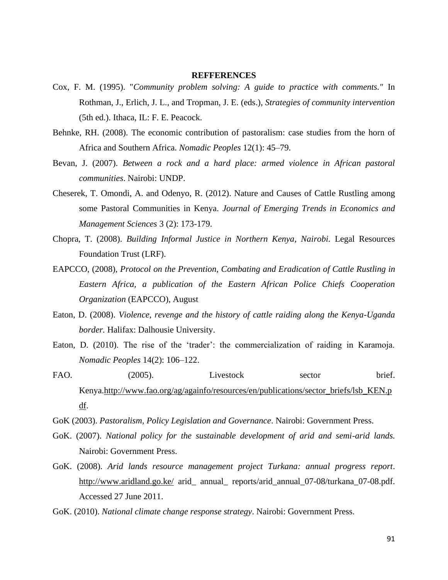#### **REFFERENCES**

- Cox, F. M. (1995). "*Community problem solving: A guide to practice with comments."* In Rothman, J., Erlich, J. L., and Tropman, J. E. (eds.), *Strategies of community intervention*  (5th ed.). Ithaca, IL: F. E. Peacock.
- Behnke, RH. (2008). The economic contribution of pastoralism: case studies from the horn of Africa and Southern Africa. *Nomadic Peoples* 12(1): 45–79.
- Bevan, J. (2007). *Between a rock and a hard place: armed violence in African pastoral communities*. Nairobi: UNDP.
- Cheserek, T. Omondi, A. and Odenyo, R. (2012). Nature and Causes of Cattle Rustling among some Pastoral Communities in Kenya. *Journal of Emerging Trends in Economics and Management Sciences* 3 (2): 173-179.
- Chopra, T. (2008). *Building Informal Justice in Northern Kenya, Nairobi.* Legal Resources Foundation Trust (LRF).
- EAPCCO, (2008), *Protocol on the Prevention, Combating and Eradication of Cattle Rustling in Eastern Africa, a publication of the Eastern African Police Chiefs Cooperation Organization* (EAPCCO), August
- Eaton, D. (2008). *Violence, revenge and the history of cattle raiding along the Kenya-Uganda border.* Halifax: Dalhousie University.
- Eaton, D. (2010). The rise of the 'trader': the commercialization of raiding in Karamoja. *Nomadic Peoples* 14(2): 106–122.
- FAO. (2005). Livestock sector brief. Kenya[.http://www.fao.org/ag/againfo/resources/en/publications/sector\\_briefs/lsb\\_KEN.p](http://www.fao.org/ag/againfo/resources/en/publications/sector_briefs/lsb_KEN.pdf) [df.](http://www.fao.org/ag/againfo/resources/en/publications/sector_briefs/lsb_KEN.pdf)
- GoK (2003). *Pastoralism, Policy Legislation and Governance*. Nairobi: Government Press.
- GoK. (2007). *National policy for the sustainable development of arid and semi-arid lands.* Nairobi: Government Press.
- GoK. (2008). *Arid lands resource management project Turkana: annual progress report*. <http://www.aridland.go.ke/> arid\_ annual\_ reports/arid\_annual\_07-08/turkana\_07-08.pdf. Accessed 27 June 2011.
- GoK. (2010). *National climate change response strategy*. Nairobi: Government Press.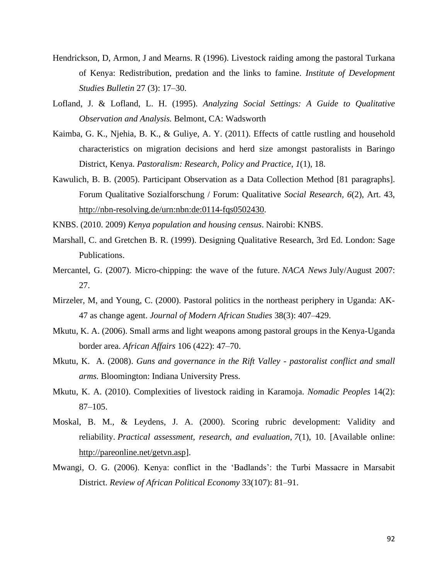- Hendrickson, D, Armon, J and Mearns. R (1996). Livestock raiding among the pastoral Turkana of Kenya: Redistribution, predation and the links to famine. *Institute of Development Studies Bulletin* 27 (3): 17–30.
- Lofland, J. & Lofland, L. H. (1995). *Analyzing Social Settings: A Guide to Qualitative Observation and Analysis.* Belmont, CA: Wadsworth
- Kaimba, G. K., Njehia, B. K., & Guliye, A. Y. (2011). Effects of cattle rustling and household characteristics on migration decisions and herd size amongst pastoralists in Baringo District, Kenya. *Pastoralism: Research, Policy and Practice*, *1*(1), 18.
- Kawulich, B. B. (2005). Participant Observation as a Data Collection Method [81 paragraphs]. Forum Qualitative Sozialforschung / Forum: Qualitative *Social Research, 6*(2), Art. 43, [http://nbn-resolving.de/urn:nbn:de:0114-fqs0502430.](http://nbn-resolving.de/urn:nbn:de:0114-fqs0502430)
- KNBS. (2010. 2009) *Kenya population and housing census*. Nairobi: KNBS.
- Marshall, C. and Gretchen B. R. (1999). Designing Qualitative Research, 3rd Ed. London: Sage Publications.
- Mercantel, G. (2007). Micro-chipping: the wave of the future. *NACA News* July/August 2007: 27.
- Mirzeler, M, and Young, C. (2000). Pastoral politics in the northeast periphery in Uganda: AK-47 as change agent. *Journal of Modern African Studies* 38(3): 407–429.
- Mkutu, K. A. (2006). Small arms and light weapons among pastoral groups in the Kenya-Uganda border area. *African Affairs* 106 (422): 47–70.
- Mkutu, K. A. (2008). *Guns and governance in the Rift Valley - pastoralist conflict and small arms.* Bloomington: Indiana University Press.
- Mkutu, K. A. (2010). Complexities of livestock raiding in Karamoja. *Nomadic Peoples* 14(2): 87–105.
- Moskal, B. M., & Leydens, J. A. (2000). Scoring rubric development: Validity and reliability. *Practical assessment, research, and evaluation*, *7*(1), 10. [Available online: [http://pareonline.net/getvn.asp\]](http://pareonline.net/getvn.asp).
- Mwangi, O. G. (2006). Kenya: conflict in the 'Badlands': the Turbi Massacre in Marsabit District. *Review of African Political Economy* 33(107): 81–91.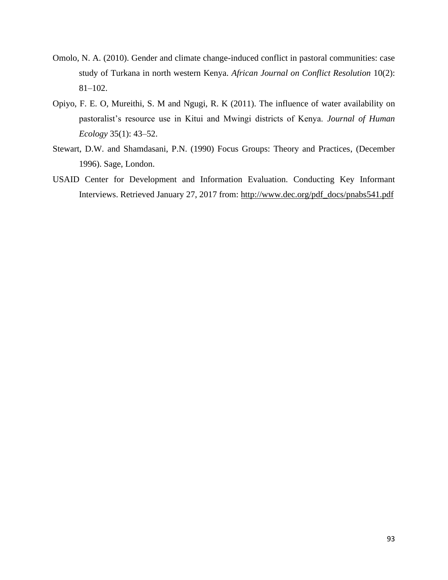- Omolo, N. A. (2010). Gender and climate change-induced conflict in pastoral communities: case study of Turkana in north western Kenya. *African Journal on Conflict Resolution* 10(2): 81–102.
- Opiyo, F. E. O, Mureithi, S. M and Ngugi, R. K (2011). The influence of water availability on pastoralist's resource use in Kitui and Mwingi districts of Kenya. *Journal of Human Ecology* 35(1): 43–52.
- Stewart, D.W. and Shamdasani, P.N. (1990) Focus Groups: Theory and Practices, (December 1996). Sage, London.
- USAID Center for Development and Information Evaluation. Conducting Key Informant Interviews. Retrieved January 27, 2017 from: [http://www.dec.org/pdf\\_docs/pnabs541.pdf](http://www.dec.org/pdf_docs/pnabs541.pdf)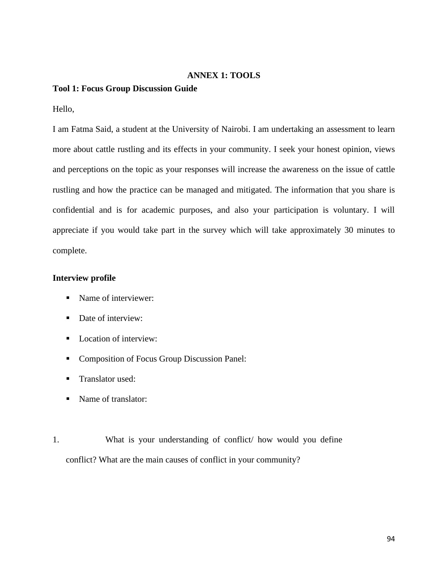# **ANNEX 1: TOOLS**

# **Tool 1: Focus Group Discussion Guide**

Hello,

I am Fatma Said, a student at the University of Nairobi. I am undertaking an assessment to learn more about cattle rustling and its effects in your community. I seek your honest opinion, views and perceptions on the topic as your responses will increase the awareness on the issue of cattle rustling and how the practice can be managed and mitigated. The information that you share is confidential and is for academic purposes, and also your participation is voluntary. I will appreciate if you would take part in the survey which will take approximately 30 minutes to complete.

# **Interview profile**

- Name of interviewer:
- Date of interview:
- Location of interview:
- Composition of Focus Group Discussion Panel:
- Translator used:
- Name of translator:
- 1. What is your understanding of conflict/ how would you define conflict? What are the main causes of conflict in your community?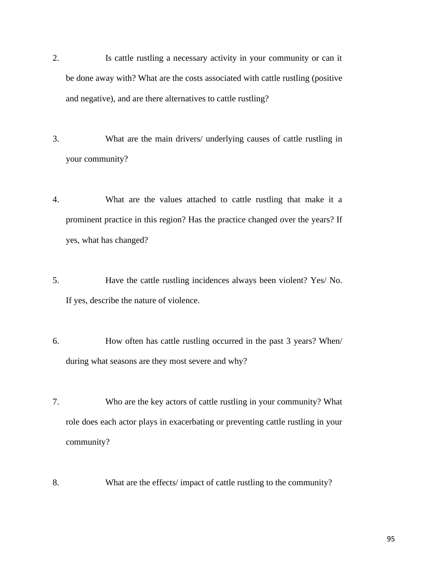- 2. Is cattle rustling a necessary activity in your community or can it be done away with? What are the costs associated with cattle rustling (positive and negative), and are there alternatives to cattle rustling?
- 3. What are the main drivers/ underlying causes of cattle rustling in your community?
- 4. What are the values attached to cattle rustling that make it a prominent practice in this region? Has the practice changed over the years? If yes, what has changed?
- 5. Have the cattle rustling incidences always been violent? Yes/ No. If yes, describe the nature of violence.
- 6. How often has cattle rustling occurred in the past 3 years? When/ during what seasons are they most severe and why?
- 7. Who are the key actors of cattle rustling in your community? What role does each actor plays in exacerbating or preventing cattle rustling in your community?
- 8. What are the effects/ impact of cattle rustling to the community?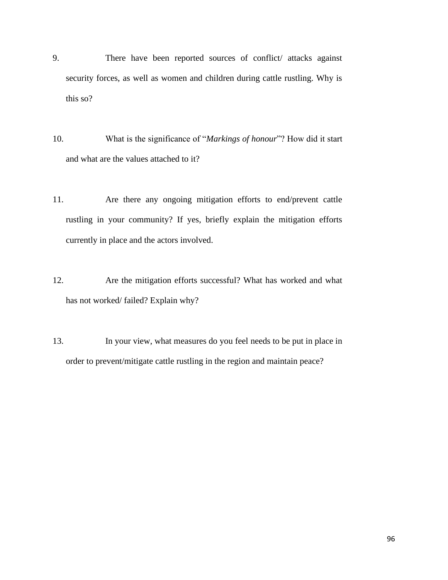- 9. There have been reported sources of conflict/ attacks against security forces, as well as women and children during cattle rustling. Why is this so?
- 10. What is the significance of "*Markings of honour*"? How did it start and what are the values attached to it?
- 11. Are there any ongoing mitigation efforts to end/prevent cattle rustling in your community? If yes, briefly explain the mitigation efforts currently in place and the actors involved.
- 12. Are the mitigation efforts successful? What has worked and what has not worked/ failed? Explain why?
- 13. In your view, what measures do you feel needs to be put in place in order to prevent/mitigate cattle rustling in the region and maintain peace?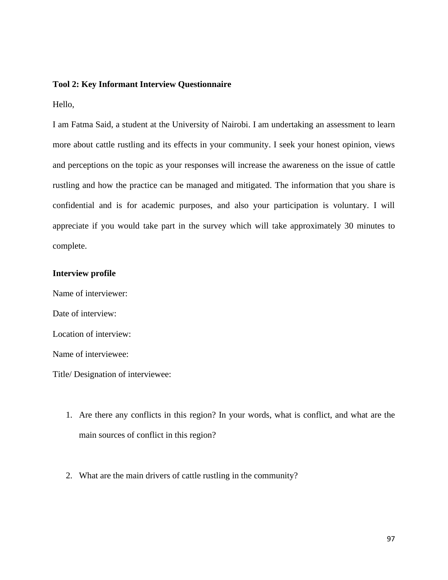#### **Tool 2: Key Informant Interview Questionnaire**

Hello,

I am Fatma Said, a student at the University of Nairobi. I am undertaking an assessment to learn more about cattle rustling and its effects in your community. I seek your honest opinion, views and perceptions on the topic as your responses will increase the awareness on the issue of cattle rustling and how the practice can be managed and mitigated. The information that you share is confidential and is for academic purposes, and also your participation is voluntary. I will appreciate if you would take part in the survey which will take approximately 30 minutes to complete.

## **Interview profile**

Name of interviewer: Date of interview: Location of interview: Name of interviewee: Title/ Designation of interviewee:

- 1. Are there any conflicts in this region? In your words, what is conflict, and what are the main sources of conflict in this region?
- 2. What are the main drivers of cattle rustling in the community?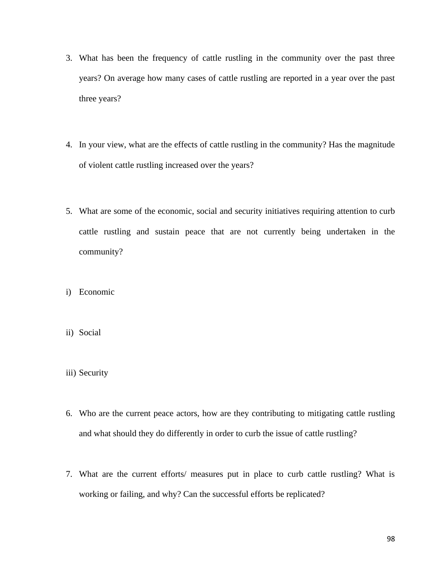- 3. What has been the frequency of cattle rustling in the community over the past three years? On average how many cases of cattle rustling are reported in a year over the past three years?
- 4. In your view, what are the effects of cattle rustling in the community? Has the magnitude of violent cattle rustling increased over the years?
- 5. What are some of the economic, social and security initiatives requiring attention to curb cattle rustling and sustain peace that are not currently being undertaken in the community?
- i) Economic
- ii) Social
- iii) Security
- 6. Who are the current peace actors, how are they contributing to mitigating cattle rustling and what should they do differently in order to curb the issue of cattle rustling?
- 7. What are the current efforts/ measures put in place to curb cattle rustling? What is working or failing, and why? Can the successful efforts be replicated?